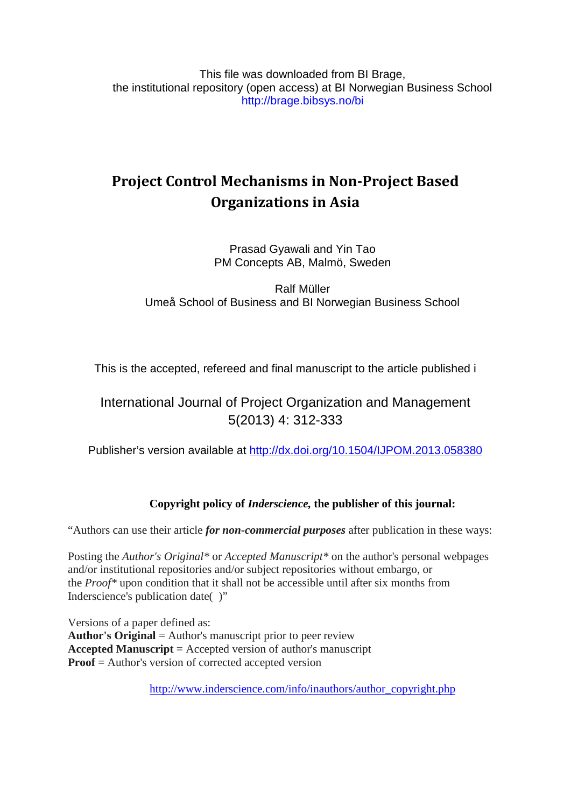This file was downloaded from BI Brage, the institutional repository (open access) at BI Norwegian Business School http://brage.bibsys.no/bi

# **Project Control Mechanisms in Non-Project Based Organizations in Asia**

Prasad Gyawali and Yin Tao PM Concepts AB, Malmö, Sweden

Ralf Müller Umeå School of Business and BI Norwegian Business School

This is the accepted, refereed and final manuscript to the article published i

# International Journal of Project Organization and Management 5(2013) 4: 312-333

Publisher's version available at <http://dx.doi.org/10.1504/IJPOM.2013.058380>

# **Copyright policy of** *Inderscience,* **the publisher of this journal:**

"Authors can use their article *for non-commercial purposes* after publication in these ways:

Posting the *Author's Original\** or *Accepted Manuscript\** on the author's personal webpages and/or institutional repositories and/or subject repositories without embargo, or the *Proof\** upon condition that it shall not be accessible until after six months from Inderscience's publication date( )"

Versions of a paper defined as: **Author's Original** = Author's manuscript prior to peer review **Accepted Manuscript** = Accepted version of author's manuscript **Proof** = Author's version of corrected accepted version

[http://www.inderscience.com/info/inauthors/author\\_copyright.php](http://www.inderscience.com/info/inauthors/author_copyright.php)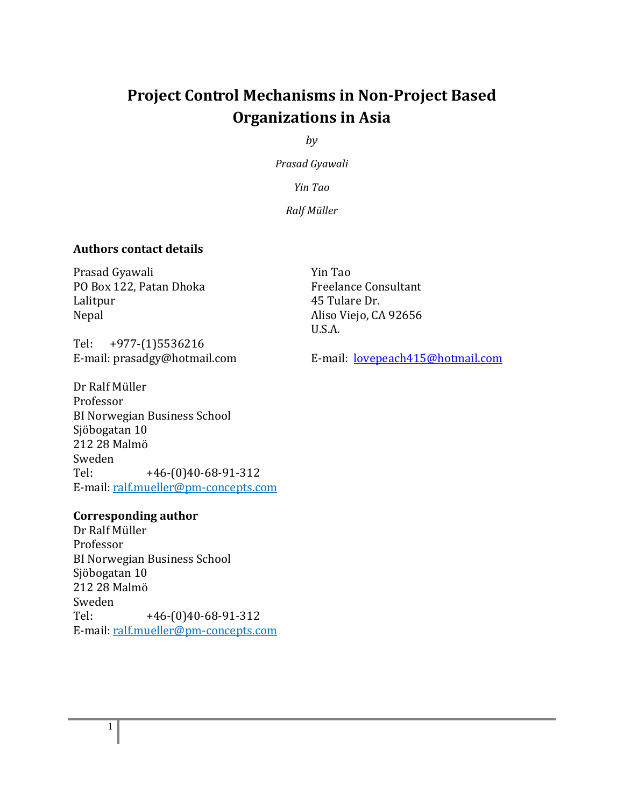# **Project Control Mechanisms in Non-Project Based Organizations in Asia**

*by*

*Prasad Gyawali*

*Yin Tao*

*Ralf Müller*

# **Authors contact details**

Prasad Gyawali PO Box 122, Patan Dhoka Lalitpur Nepal

Tel: +977-(1)5536216<br>E-mail: prasadgy@hotmail.com

Dr Ralf Müller Professor BI Norwegian Business School Sjöbogatan 10 212 28 Malmö Sweden<br>Tel:  $+46-(0)40-68-91-312$ 

# **Corresponding author**

Dr Ralf Müller Professor BI Norwegian Business School Sjöbogatan 10 212 28 Malmö Sweden<br>Tel:  $+46-(0)40-68-91-312$ E-mail: ralf.mueller@pm-concepts.com

E-mail: ralf.mueller@pm-concepts.com

Yin Tao Freelance Consultant 45 Tulare Dr. Aliso Viejo, CA 92656 U.S.A.

E-mail: [lovepeach415@hotmail.com](mailto:lovepeach415@hotmail.com)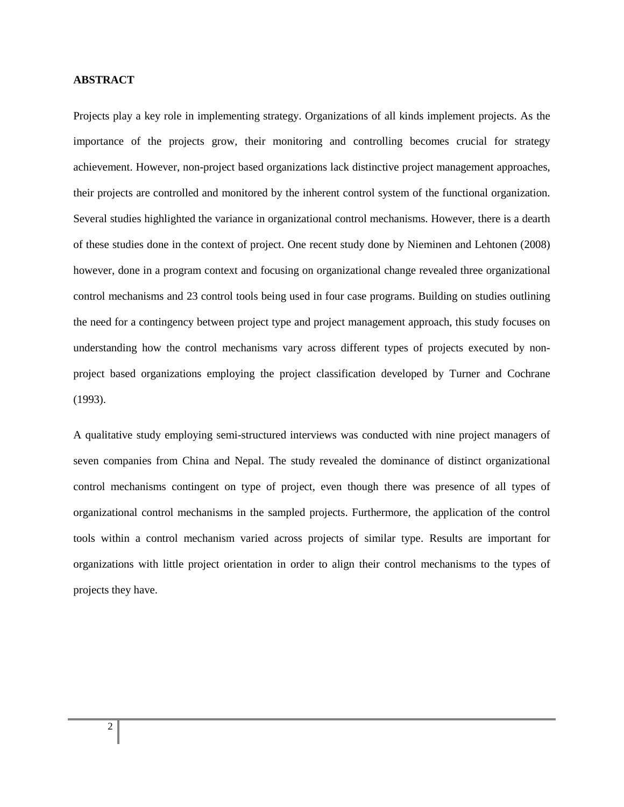#### **ABSTRACT**

Projects play a key role in implementing strategy. Organizations of all kinds implement projects. As the importance of the projects grow, their monitoring and controlling becomes crucial for strategy achievement. However, non-project based organizations lack distinctive project management approaches, their projects are controlled and monitored by the inherent control system of the functional organization. Several studies highlighted the variance in organizational control mechanisms. However, there is a dearth of these studies done in the context of project. One recent study done by Nieminen and Lehtonen (2008) however, done in a program context and focusing on organizational change revealed three organizational control mechanisms and 23 control tools being used in four case programs. Building on studies outlining the need for a contingency between project type and project management approach, this study focuses on understanding how the control mechanisms vary across different types of projects executed by nonproject based organizations employing the project classification developed by Turner and Cochrane (1993).

A qualitative study employing semi-structured interviews was conducted with nine project managers of seven companies from China and Nepal. The study revealed the dominance of distinct organizational control mechanisms contingent on type of project, even though there was presence of all types of organizational control mechanisms in the sampled projects. Furthermore, the application of the control tools within a control mechanism varied across projects of similar type. Results are important for organizations with little project orientation in order to align their control mechanisms to the types of projects they have.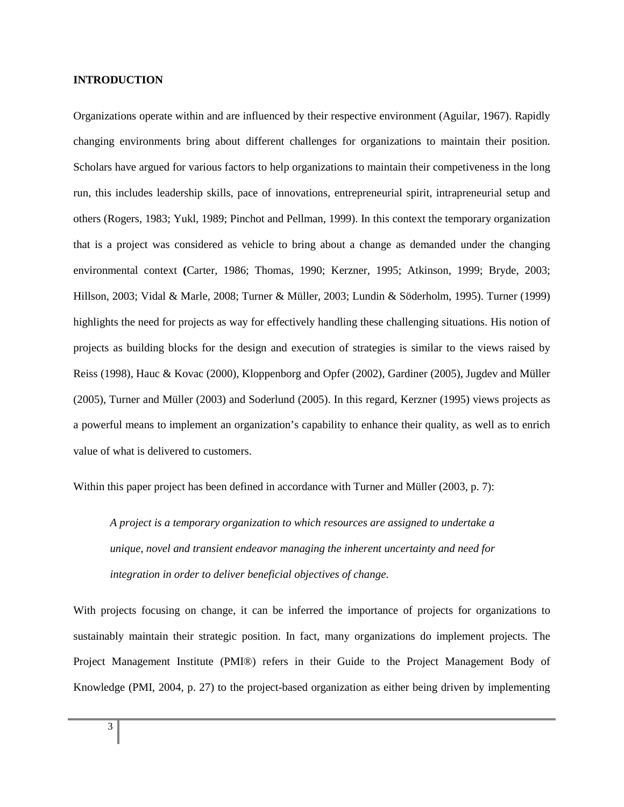#### **INTRODUCTION**

Organizations operate within and are influenced by their respective environment (Aguilar, 1967). Rapidly changing environments bring about different challenges for organizations to maintain their position. Scholars have argued for various factors to help organizations to maintain their competiveness in the long run, this includes leadership skills, pace of innovations, entrepreneurial spirit, intrapreneurial setup and others (Rogers, 1983; Yukl, 1989; Pinchot and Pellman, 1999). In this context the temporary organization that is a project was considered as vehicle to bring about a change as demanded under the changing environmental context **(**Carter, 1986; Thomas, 1990; Kerzner, 1995; Atkinson, 1999; Bryde, 2003; Hillson, 2003; Vidal & Marle, 2008; Turner & Müller, 2003; Lundin & Söderholm, 1995). Turner (1999) highlights the need for projects as way for effectively handling these challenging situations. His notion of projects as building blocks for the design and execution of strategies is similar to the views raised by Reiss (1998), Hauc & Kovac (2000), Kloppenborg and Opfer (2002), Gardiner (2005), Jugdev and Müller (2005), Turner and Müller (2003) and Soderlund (2005). In this regard, Kerzner (1995) views projects as a powerful means to implement an organization's capability to enhance their quality, as well as to enrich value of what is delivered to customers.

Within this paper project has been defined in accordance with Turner and Müller (2003, p. 7):

*A project is a temporary organization to which resources are assigned to undertake a unique, novel and transient endeavor managing the inherent uncertainty and need for integration in order to deliver beneficial objectives of change*.

With projects focusing on change, it can be inferred the importance of projects for organizations to sustainably maintain their strategic position. In fact, many organizations do implement projects. The Project Management Institute (PMI®) refers in their Guide to the Project Management Body of Knowledge (PMI, 2004, p. 27) to the project-based organization as either being driven by implementing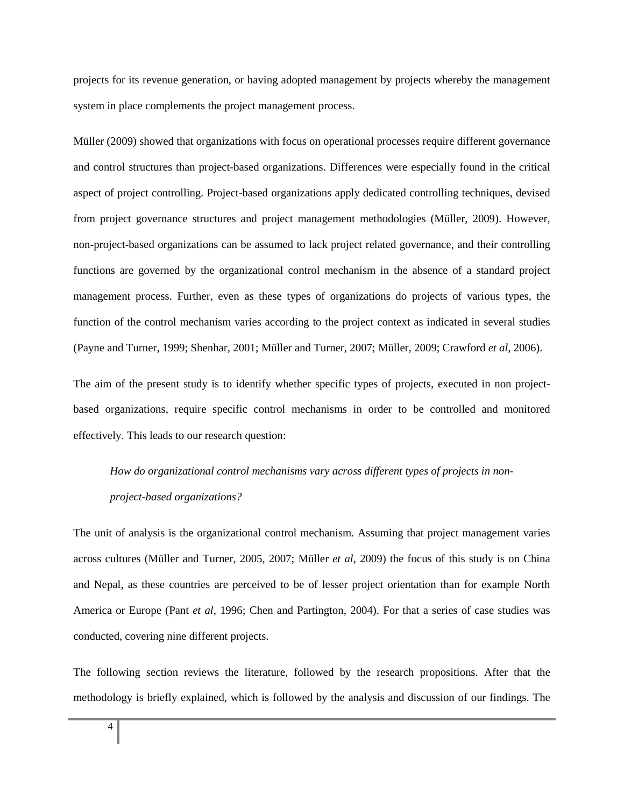projects for its revenue generation, or having adopted management by projects whereby the management system in place complements the project management process.

Müller (2009) showed that organizations with focus on operational processes require different governance and control structures than project-based organizations. Differences were especially found in the critical aspect of project controlling. Project-based organizations apply dedicated controlling techniques, devised from project governance structures and project management methodologies (Müller, 2009). However, non-project-based organizations can be assumed to lack project related governance, and their controlling functions are governed by the organizational control mechanism in the absence of a standard project management process. Further, even as these types of organizations do projects of various types, the function of the control mechanism varies according to the project context as indicated in several studies (Payne and Turner, 1999; Shenhar, 2001; Müller and Turner, 2007; Müller, 2009; Crawford *et al*, 2006).

The aim of the present study is to identify whether specific types of projects, executed in non projectbased organizations, require specific control mechanisms in order to be controlled and monitored effectively. This leads to our research question:

# *How do organizational control mechanisms vary across different types of projects in nonproject-based organizations?*

The unit of analysis is the organizational control mechanism. Assuming that project management varies across cultures (Müller and Turner, 2005, 2007; Müller *et al*, 2009) the focus of this study is on China and Nepal, as these countries are perceived to be of lesser project orientation than for example North America or Europe (Pant *et al*, 1996; Chen and Partington, 2004). For that a series of case studies was conducted, covering nine different projects.

The following section reviews the literature, followed by the research propositions. After that the methodology is briefly explained, which is followed by the analysis and discussion of our findings. The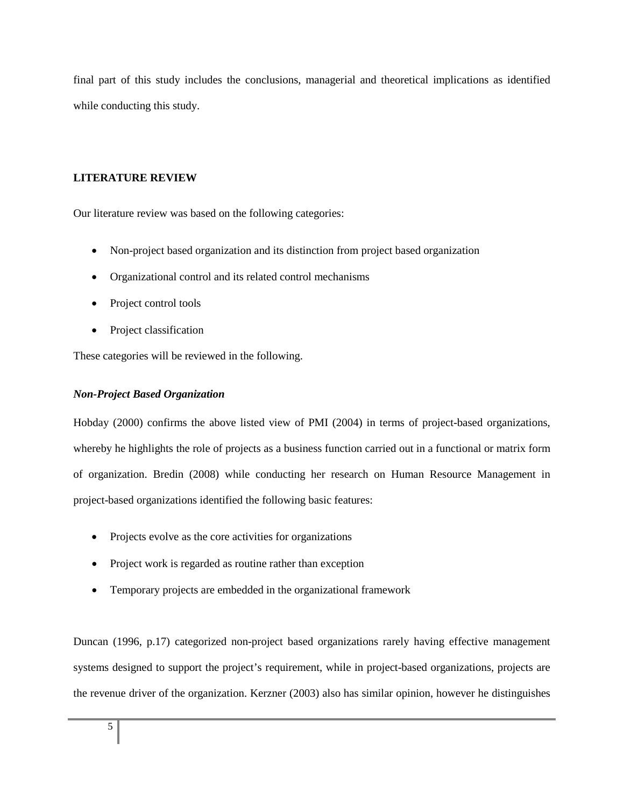final part of this study includes the conclusions, managerial and theoretical implications as identified while conducting this study.

# **LITERATURE REVIEW**

Our literature review was based on the following categories:

- Non-project based organization and its distinction from project based organization
- Organizational control and its related control mechanisms
- Project control tools
- Project classification

These categories will be reviewed in the following.

# *Non-Project Based Organization*

Hobday (2000) confirms the above listed view of PMI (2004) in terms of project-based organizations, whereby he highlights the role of projects as a business function carried out in a functional or matrix form of organization. Bredin (2008) while conducting her research on Human Resource Management in project-based organizations identified the following basic features:

- Projects evolve as the core activities for organizations
- Project work is regarded as routine rather than exception
- Temporary projects are embedded in the organizational framework

Duncan (1996, p.17) categorized non-project based organizations rarely having effective management systems designed to support the project's requirement, while in project-based organizations, projects are the revenue driver of the organization. Kerzner (2003) also has similar opinion, however he distinguishes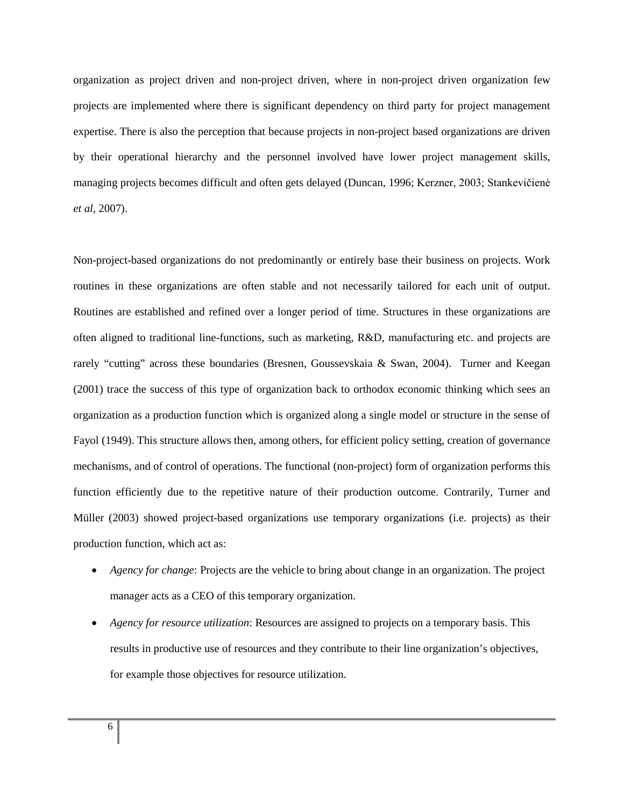organization as project driven and non-project driven, where in non-project driven organization few projects are implemented where there is significant dependency on third party for project management expertise. There is also the perception that because projects in non-project based organizations are driven by their operational hierarchy and the personnel involved have lower project management skills, managing projects becomes difficult and often gets delayed (Duncan, 1996; Kerzner, 2003; Stankevičienė *et al,* 2007).

Non-project-based organizations do not predominantly or entirely base their business on projects. Work routines in these organizations are often stable and not necessarily tailored for each unit of output. Routines are established and refined over a longer period of time. Structures in these organizations are often aligned to traditional line-functions, such as marketing, R&D, manufacturing etc. and projects are rarely "cutting" across these boundaries (Bresnen, Goussevskaia & Swan, 2004). Turner and Keegan (2001) trace the success of this type of organization back to orthodox economic thinking which sees an organization as a production function which is organized along a single model or structure in the sense of Fayol (1949). This structure allows then, among others, for efficient policy setting, creation of governance mechanisms, and of control of operations. The functional (non-project) form of organization performs this function efficiently due to the repetitive nature of their production outcome. Contrarily, Turner and Müller (2003) showed project-based organizations use temporary organizations (i.e. projects) as their production function, which act as:

- *Agency for change*: Projects are the vehicle to bring about change in an organization. The project manager acts as a CEO of this temporary organization.
- *Agency for resource utilization*: Resources are assigned to projects on a temporary basis. This results in productive use of resources and they contribute to their line organization's objectives, for example those objectives for resource utilization.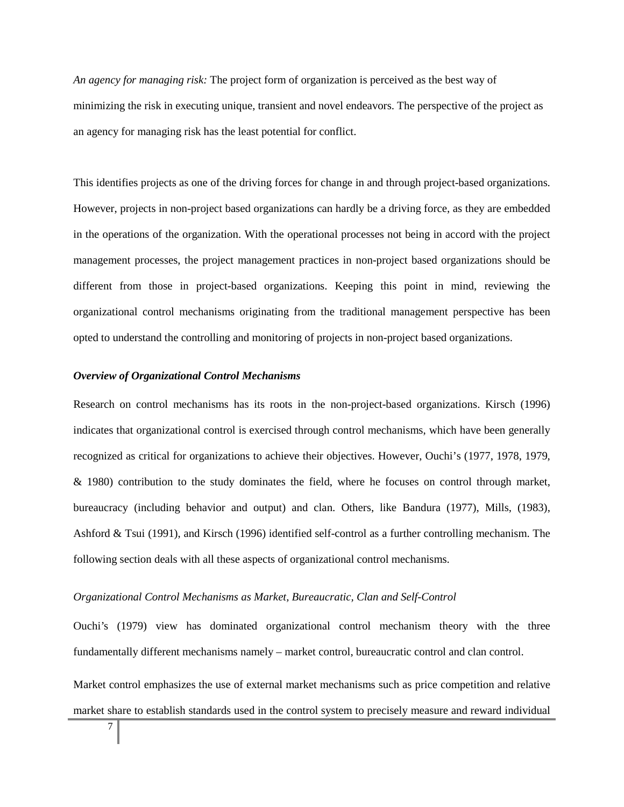*An agency for managing risk:* The project form of organization is perceived as the best way of minimizing the risk in executing unique, transient and novel endeavors. The perspective of the project as an agency for managing risk has the least potential for conflict.

This identifies projects as one of the driving forces for change in and through project-based organizations. However, projects in non-project based organizations can hardly be a driving force, as they are embedded in the operations of the organization. With the operational processes not being in accord with the project management processes, the project management practices in non-project based organizations should be different from those in project-based organizations. Keeping this point in mind, reviewing the organizational control mechanisms originating from the traditional management perspective has been opted to understand the controlling and monitoring of projects in non-project based organizations.

#### *Overview of Organizational Control Mechanisms*

Research on control mechanisms has its roots in the non-project-based organizations. Kirsch (1996) indicates that organizational control is exercised through control mechanisms, which have been generally recognized as critical for organizations to achieve their objectives. However, Ouchi's (1977, 1978, 1979, & 1980) contribution to the study dominates the field, where he focuses on control through market, bureaucracy (including behavior and output) and clan. Others, like Bandura (1977), Mills, (1983), Ashford & Tsui (1991), and Kirsch (1996) identified self-control as a further controlling mechanism. The following section deals with all these aspects of organizational control mechanisms.

#### *Organizational Control Mechanisms as Market, Bureaucratic, Clan and Self-Control*

Ouchi's (1979) view has dominated organizational control mechanism theory with the three fundamentally different mechanisms namely – market control, bureaucratic control and clan control.

Market control emphasizes the use of external market mechanisms such as price competition and relative market share to establish standards used in the control system to precisely measure and reward individual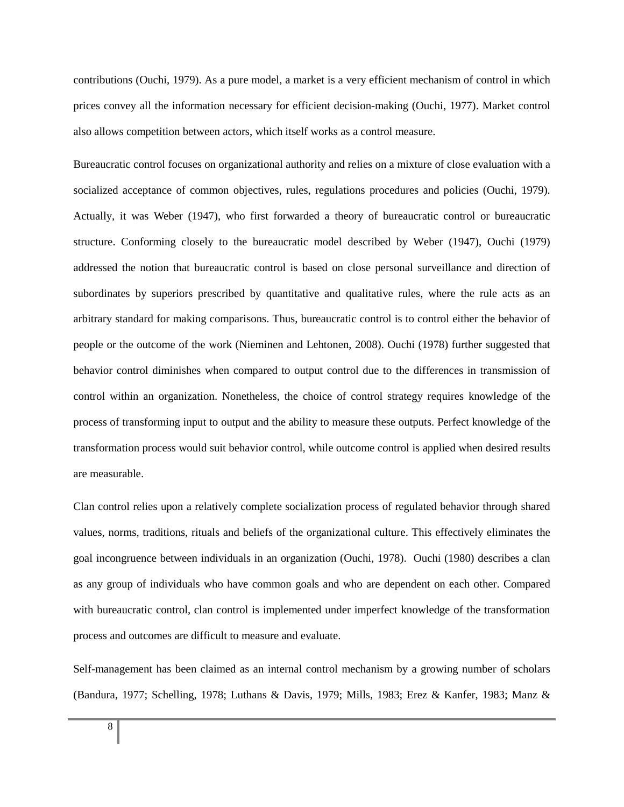contributions (Ouchi, 1979). As a pure model, a market is a very efficient mechanism of control in which prices convey all the information necessary for efficient decision-making (Ouchi, 1977). Market control also allows competition between actors, which itself works as a control measure.

Bureaucratic control focuses on organizational authority and relies on a mixture of close evaluation with a socialized acceptance of common objectives, rules, regulations procedures and policies (Ouchi, 1979). Actually, it was Weber (1947), who first forwarded a theory of bureaucratic control or bureaucratic structure. Conforming closely to the bureaucratic model described by Weber (1947), Ouchi (1979) addressed the notion that bureaucratic control is based on close personal surveillance and direction of subordinates by superiors prescribed by quantitative and qualitative rules, where the rule acts as an arbitrary standard for making comparisons. Thus, bureaucratic control is to control either the behavior of people or the outcome of the work (Nieminen and Lehtonen, 2008). Ouchi (1978) further suggested that behavior control diminishes when compared to output control due to the differences in transmission of control within an organization. Nonetheless, the choice of control strategy requires knowledge of the process of transforming input to output and the ability to measure these outputs. Perfect knowledge of the transformation process would suit behavior control, while outcome control is applied when desired results are measurable.

Clan control relies upon a relatively complete socialization process of regulated behavior through shared values, norms, traditions, rituals and beliefs of the organizational culture. This effectively eliminates the goal incongruence between individuals in an organization (Ouchi, 1978). Ouchi (1980) describes a clan as any group of individuals who have common goals and who are dependent on each other. Compared with bureaucratic control, clan control is implemented under imperfect knowledge of the transformation process and outcomes are difficult to measure and evaluate.

Self-management has been claimed as an internal control mechanism by a growing number of scholars (Bandura, 1977; Schelling, 1978; Luthans & Davis, 1979; Mills, 1983; Erez & Kanfer, 1983; Manz &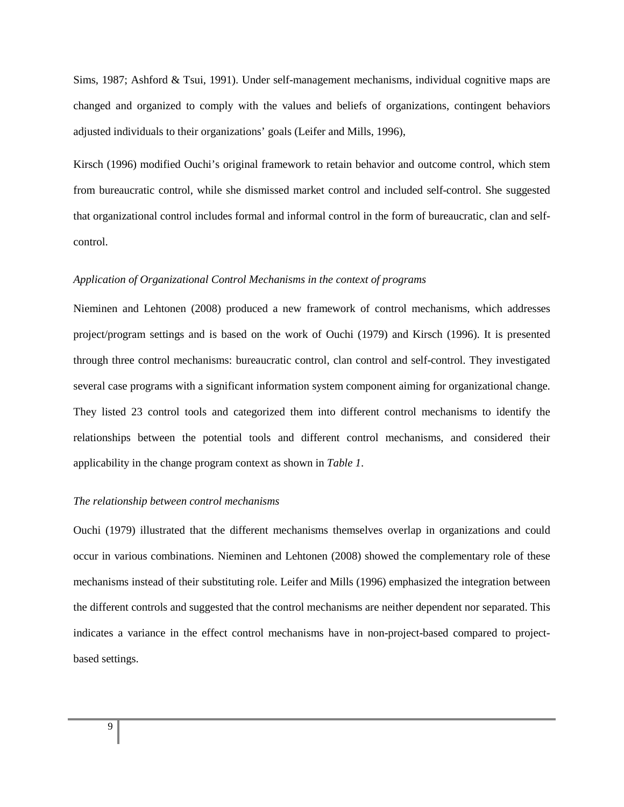Sims, 1987; Ashford & Tsui, 1991). Under self-management mechanisms, individual cognitive maps are changed and organized to comply with the values and beliefs of organizations, contingent behaviors adjusted individuals to their organizations' goals (Leifer and Mills, 1996),

Kirsch (1996) modified Ouchi's original framework to retain behavior and outcome control, which stem from bureaucratic control, while she dismissed market control and included self-control. She suggested that organizational control includes formal and informal control in the form of bureaucratic, clan and selfcontrol.

## *Application of Organizational Control Mechanisms in the context of programs*

Nieminen and Lehtonen (2008) produced a new framework of control mechanisms, which addresses project/program settings and is based on the work of Ouchi (1979) and Kirsch (1996). It is presented through three control mechanisms: bureaucratic control, clan control and self-control. They investigated several case programs with a significant information system component aiming for organizational change. They listed 23 control tools and categorized them into different control mechanisms to identify the relationships between the potential tools and different control mechanisms, and considered their applicability in the change program context as shown in *Table 1*.

#### *The relationship between control mechanisms*

Ouchi (1979) illustrated that the different mechanisms themselves overlap in organizations and could occur in various combinations. Nieminen and Lehtonen (2008) showed the complementary role of these mechanisms instead of their substituting role. Leifer and Mills (1996) emphasized the integration between the different controls and suggested that the control mechanisms are neither dependent nor separated. This indicates a variance in the effect control mechanisms have in non-project-based compared to projectbased settings.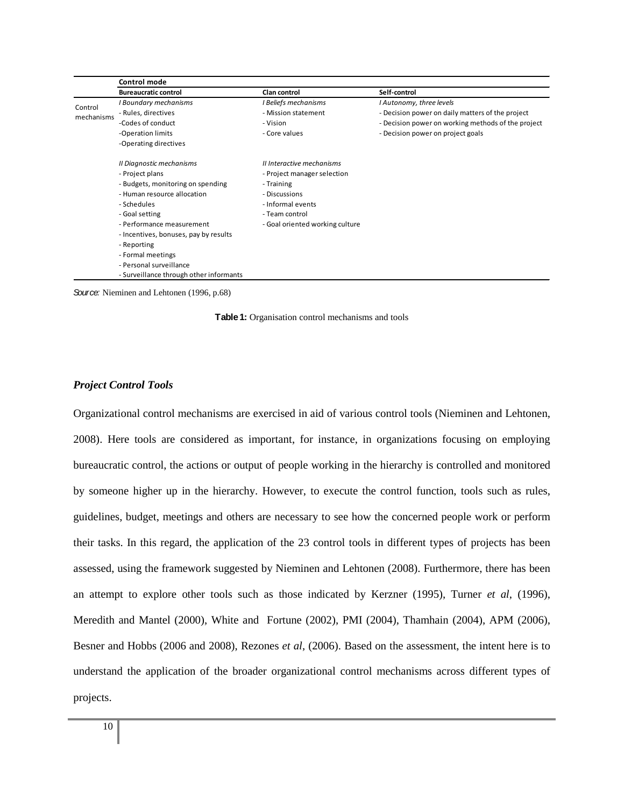|            | Control mode                                                 |                             |                                                    |  |  |  |
|------------|--------------------------------------------------------------|-----------------------------|----------------------------------------------------|--|--|--|
|            | <b>Bureaucratic control</b>                                  | <b>Clan control</b>         | Self-control                                       |  |  |  |
| Control    | I Boundary mechanisms                                        | I Beliefs mechanisms        | I Autonomy, three levels                           |  |  |  |
| mechanisms | - Rules, directives                                          | - Mission statement         | - Decision power on daily matters of the project   |  |  |  |
|            | -Codes of conduct                                            | - Vision                    | - Decision power on working methods of the project |  |  |  |
|            | -Operation limits                                            | - Core values               | - Decision power on project goals                  |  |  |  |
|            | -Operating directives                                        |                             |                                                    |  |  |  |
|            | Il Diagnostic mechanisms                                     | Il Interactive mechanisms   |                                                    |  |  |  |
|            | - Project plans                                              | - Project manager selection |                                                    |  |  |  |
|            | - Budgets, monitoring on spending                            | - Training                  |                                                    |  |  |  |
|            | - Human resource allocation                                  | - Discussions               |                                                    |  |  |  |
|            | - Schedules                                                  | - Informal events           |                                                    |  |  |  |
|            | - Goal setting                                               | - Team control              |                                                    |  |  |  |
|            | - Performance measurement<br>- Goal oriented working culture |                             |                                                    |  |  |  |
|            | - Incentives, bonuses, pay by results                        |                             |                                                    |  |  |  |
|            | - Reporting                                                  |                             |                                                    |  |  |  |
|            | - Formal meetings                                            |                             |                                                    |  |  |  |
|            | - Personal surveillance                                      |                             |                                                    |  |  |  |
|            | - Surveillance through other informants                      |                             |                                                    |  |  |  |

*Source:* Nieminen and Lehtonen (1996, p.68)

**Table 1:** Organisation control mechanisms and tools

#### *Project Control Tools*

Organizational control mechanisms are exercised in aid of various control tools (Nieminen and Lehtonen, 2008). Here tools are considered as important, for instance, in organizations focusing on employing bureaucratic control, the actions or output of people working in the hierarchy is controlled and monitored by someone higher up in the hierarchy. However, to execute the control function, tools such as rules, guidelines, budget, meetings and others are necessary to see how the concerned people work or perform their tasks. In this regard, the application of the 23 control tools in different types of projects has been assessed, using the framework suggested by Nieminen and Lehtonen (2008). Furthermore, there has been an attempt to explore other tools such as those indicated by Kerzner (1995), Turner *et al*, (1996), Meredith and Mantel (2000), White and Fortune (2002), PMI (2004), Thamhain (2004), APM (2006), Besner and Hobbs (2006 and 2008), Rezones *et al*, (2006). Based on the assessment, the intent here is to understand the application of the broader organizational control mechanisms across different types of projects.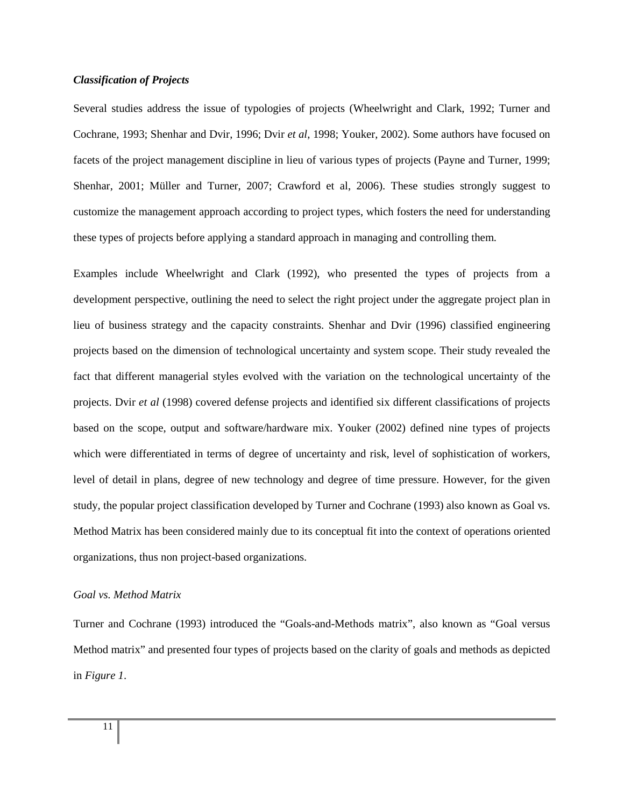## *Classification of Projects*

Several studies address the issue of typologies of projects (Wheelwright and Clark, 1992; Turner and Cochrane, 1993; Shenhar and Dvir, 1996; Dvir *et al*, 1998; Youker, 2002). Some authors have focused on facets of the project management discipline in lieu of various types of projects (Payne and Turner, 1999; Shenhar, 2001; Müller and Turner, 2007; Crawford et al, 2006). These studies strongly suggest to customize the management approach according to project types, which fosters the need for understanding these types of projects before applying a standard approach in managing and controlling them.

Examples include Wheelwright and Clark (1992), who presented the types of projects from a development perspective, outlining the need to select the right project under the aggregate project plan in lieu of business strategy and the capacity constraints. Shenhar and Dvir (1996) classified engineering projects based on the dimension of technological uncertainty and system scope. Their study revealed the fact that different managerial styles evolved with the variation on the technological uncertainty of the projects. Dvir *et al* (1998) covered defense projects and identified six different classifications of projects based on the scope, output and software/hardware mix. Youker (2002) defined nine types of projects which were differentiated in terms of degree of uncertainty and risk, level of sophistication of workers, level of detail in plans, degree of new technology and degree of time pressure. However, for the given study, the popular project classification developed by Turner and Cochrane (1993) also known as Goal vs. Method Matrix has been considered mainly due to its conceptual fit into the context of operations oriented organizations, thus non project-based organizations.

#### *Goal vs. Method Matrix*

Turner and Cochrane (1993) introduced the "Goals-and-Methods matrix", also known as "Goal versus Method matrix" and presented four types of projects based on the clarity of goals and methods as depicted in *Figure 1*.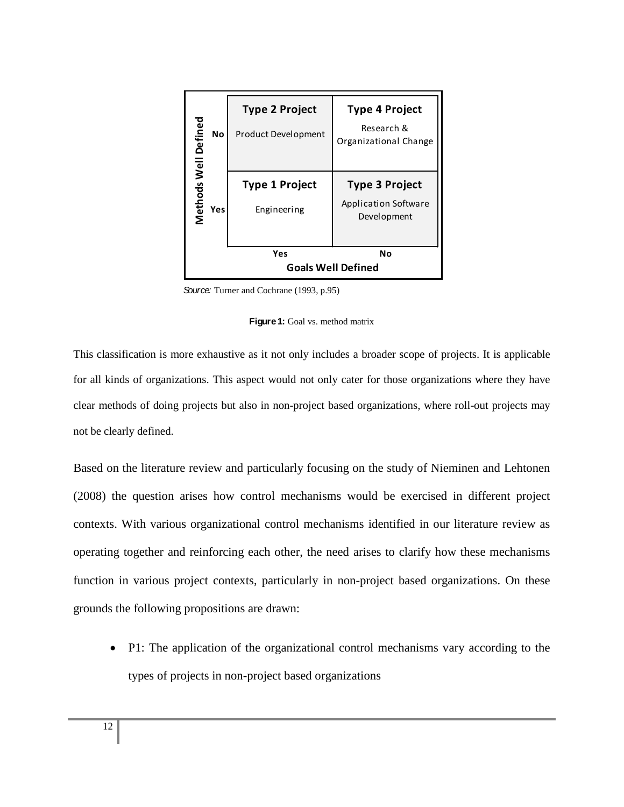| <b>No</b>                   | <b>Type 2 Project</b><br>Product Development | <b>Type 4 Project</b><br>Research &<br>Organizational Change        |  |  |  |  |
|-----------------------------|----------------------------------------------|---------------------------------------------------------------------|--|--|--|--|
| Methods Well Defined<br>Yes | Type 1 Project<br>Engineering                | <b>Type 3 Project</b><br><b>Application Software</b><br>Development |  |  |  |  |
|                             | Yes<br>Nο<br><b>Goals Well Defined</b>       |                                                                     |  |  |  |  |

*Source:* Turner and Cochrane (1993, p.95)



This classification is more exhaustive as it not only includes a broader scope of projects. It is applicable for all kinds of organizations. This aspect would not only cater for those organizations where they have clear methods of doing projects but also in non-project based organizations, where roll-out projects may not be clearly defined.

Based on the literature review and particularly focusing on the study of Nieminen and Lehtonen (2008) the question arises how control mechanisms would be exercised in different project contexts. With various organizational control mechanisms identified in our literature review as operating together and reinforcing each other, the need arises to clarify how these mechanisms function in various project contexts, particularly in non-project based organizations. On these grounds the following propositions are drawn:

• P1: The application of the organizational control mechanisms vary according to the types of projects in non-project based organizations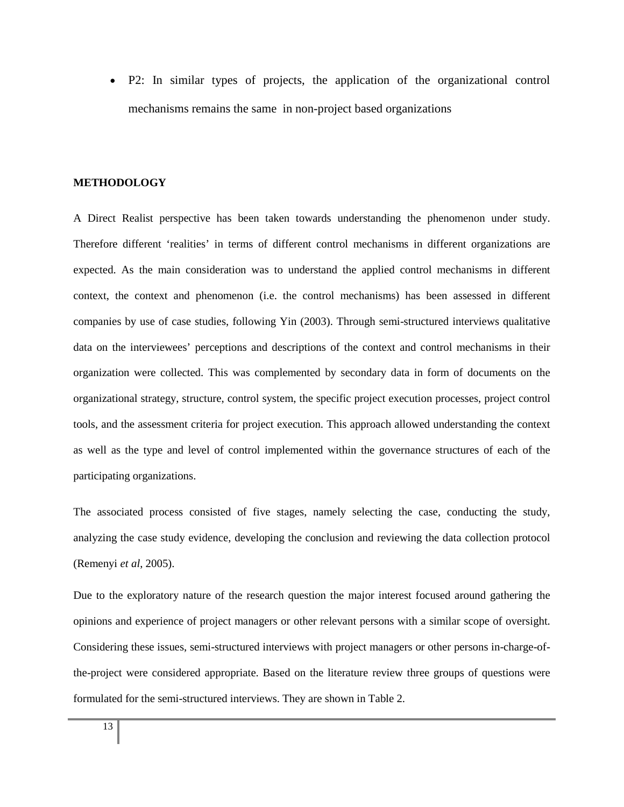• P2: In similar types of projects, the application of the organizational control mechanisms remains the same in non-project based organizations

#### **METHODOLOGY**

A Direct Realist perspective has been taken towards understanding the phenomenon under study. Therefore different 'realities' in terms of different control mechanisms in different organizations are expected. As the main consideration was to understand the applied control mechanisms in different context, the context and phenomenon (i.e. the control mechanisms) has been assessed in different companies by use of case studies, following Yin (2003). Through semi-structured interviews qualitative data on the interviewees' perceptions and descriptions of the context and control mechanisms in their organization were collected. This was complemented by secondary data in form of documents on the organizational strategy, structure, control system, the specific project execution processes, project control tools, and the assessment criteria for project execution. This approach allowed understanding the context as well as the type and level of control implemented within the governance structures of each of the participating organizations.

The associated process consisted of five stages, namely selecting the case, conducting the study, analyzing the case study evidence, developing the conclusion and reviewing the data collection protocol (Remenyi *et al*, 2005).

Due to the exploratory nature of the research question the major interest focused around gathering the opinions and experience of project managers or other relevant persons with a similar scope of oversight. Considering these issues, semi-structured interviews with project managers or other persons in-charge-ofthe-project were considered appropriate. Based on the literature review three groups of questions were formulated for the semi-structured interviews. They are shown in Table 2.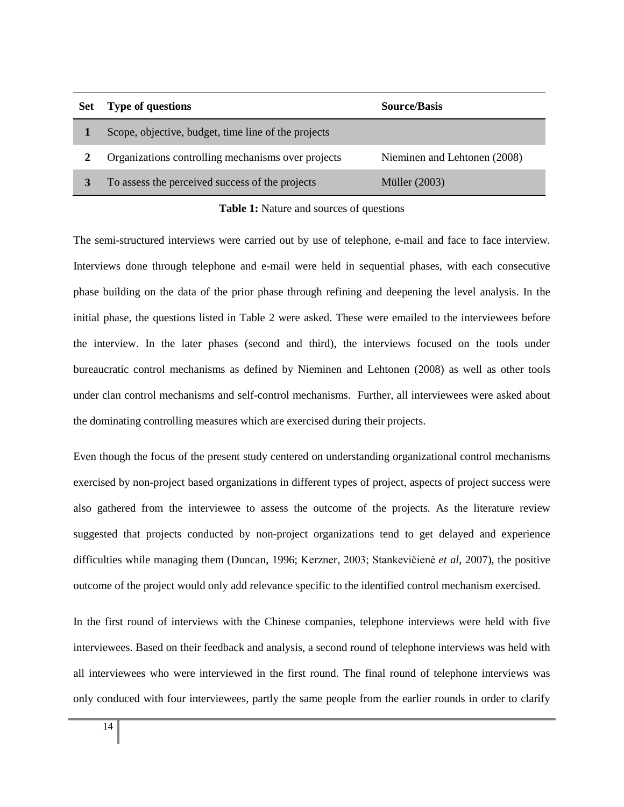| <b>Set</b> | <b>Type of questions</b>                            | <b>Source/Basis</b>          |  |  |  |  |
|------------|-----------------------------------------------------|------------------------------|--|--|--|--|
|            | Scope, objective, budget, time line of the projects |                              |  |  |  |  |
|            | Organizations controlling mechanisms over projects  | Nieminen and Lehtonen (2008) |  |  |  |  |
|            | To assess the perceived success of the projects     | Müller $(2003)$              |  |  |  |  |

**Table 1:** Nature and sources of questions

The semi-structured interviews were carried out by use of telephone, e-mail and face to face interview. Interviews done through telephone and e-mail were held in sequential phases, with each consecutive phase building on the data of the prior phase through refining and deepening the level analysis. In the initial phase, the questions listed in Table 2 were asked. These were emailed to the interviewees before the interview. In the later phases (second and third), the interviews focused on the tools under bureaucratic control mechanisms as defined by Nieminen and Lehtonen (2008) as well as other tools under clan control mechanisms and self-control mechanisms. Further, all interviewees were asked about the dominating controlling measures which are exercised during their projects.

Even though the focus of the present study centered on understanding organizational control mechanisms exercised by non-project based organizations in different types of project, aspects of project success were also gathered from the interviewee to assess the outcome of the projects. As the literature review suggested that projects conducted by non-project organizations tend to get delayed and experience difficulties while managing them (Duncan, 1996; Kerzner, 2003; Stankevičienė *et al,* 2007), the positive outcome of the project would only add relevance specific to the identified control mechanism exercised.

In the first round of interviews with the Chinese companies, telephone interviews were held with five interviewees. Based on their feedback and analysis, a second round of telephone interviews was held with all interviewees who were interviewed in the first round. The final round of telephone interviews was only conduced with four interviewees, partly the same people from the earlier rounds in order to clarify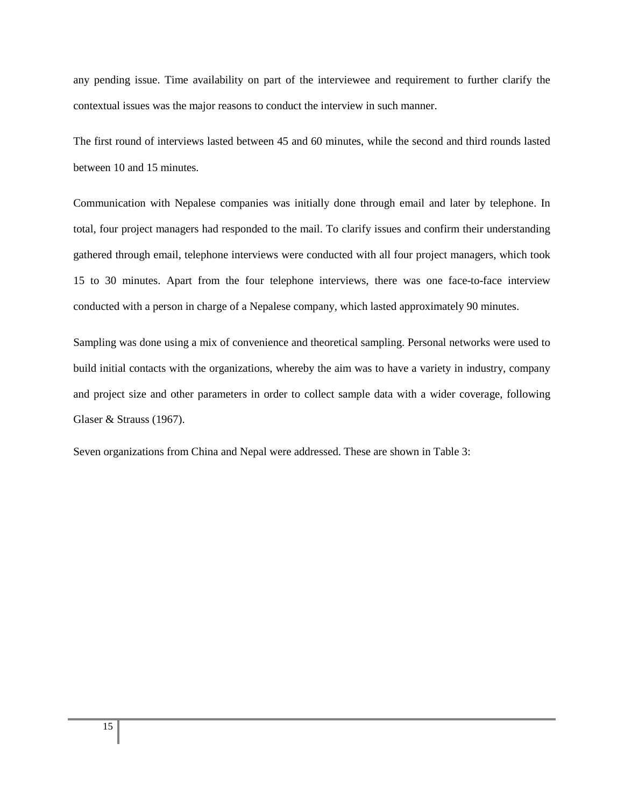any pending issue. Time availability on part of the interviewee and requirement to further clarify the contextual issues was the major reasons to conduct the interview in such manner.

The first round of interviews lasted between 45 and 60 minutes, while the second and third rounds lasted between 10 and 15 minutes.

Communication with Nepalese companies was initially done through email and later by telephone. In total, four project managers had responded to the mail. To clarify issues and confirm their understanding gathered through email, telephone interviews were conducted with all four project managers, which took 15 to 30 minutes. Apart from the four telephone interviews, there was one face-to-face interview conducted with a person in charge of a Nepalese company, which lasted approximately 90 minutes.

Sampling was done using a mix of convenience and theoretical sampling. Personal networks were used to build initial contacts with the organizations, whereby the aim was to have a variety in industry, company and project size and other parameters in order to collect sample data with a wider coverage, following Glaser & Strauss (1967).

Seven organizations from China and Nepal were addressed. These are shown in Table 3: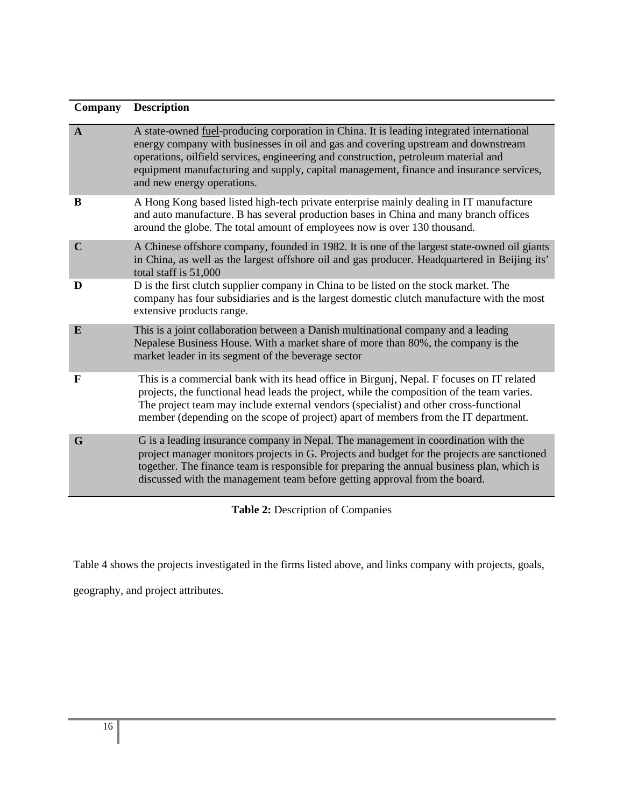| Company      | <b>Description</b>                                                                                                                                                                                                                                                                                                                                                                              |
|--------------|-------------------------------------------------------------------------------------------------------------------------------------------------------------------------------------------------------------------------------------------------------------------------------------------------------------------------------------------------------------------------------------------------|
| $\mathbf{A}$ | A state-owned fuel-producing corporation in China. It is leading integrated international<br>energy company with businesses in oil and gas and covering upstream and downstream<br>operations, oilfield services, engineering and construction, petroleum material and<br>equipment manufacturing and supply, capital management, finance and insurance services,<br>and new energy operations. |
| B            | A Hong Kong based listed high-tech private enterprise mainly dealing in IT manufacture<br>and auto manufacture. B has several production bases in China and many branch offices<br>around the globe. The total amount of employees now is over 130 thousand.                                                                                                                                    |
| $\mathbf C$  | A Chinese offshore company, founded in 1982. It is one of the largest state-owned oil giants<br>in China, as well as the largest offshore oil and gas producer. Headquartered in Beijing its'<br>total staff is 51,000                                                                                                                                                                          |
| D            | D is the first clutch supplier company in China to be listed on the stock market. The<br>company has four subsidiaries and is the largest domestic clutch manufacture with the most<br>extensive products range.                                                                                                                                                                                |
| E            | This is a joint collaboration between a Danish multinational company and a leading<br>Nepalese Business House. With a market share of more than 80%, the company is the<br>market leader in its segment of the beverage sector                                                                                                                                                                  |
| $\mathbf F$  | This is a commercial bank with its head office in Birgunj, Nepal. F focuses on IT related<br>projects, the functional head leads the project, while the composition of the team varies.<br>The project team may include external vendors (specialist) and other cross-functional<br>member (depending on the scope of project) apart of members from the IT department.                         |
| G            | G is a leading insurance company in Nepal. The management in coordination with the<br>project manager monitors projects in G. Projects and budget for the projects are sanctioned<br>together. The finance team is responsible for preparing the annual business plan, which is<br>discussed with the management team before getting approval from the board.                                   |

**Table 2:** Description of Companies

Table 4 shows the projects investigated in the firms listed above, and links company with projects, goals,

geography, and project attributes.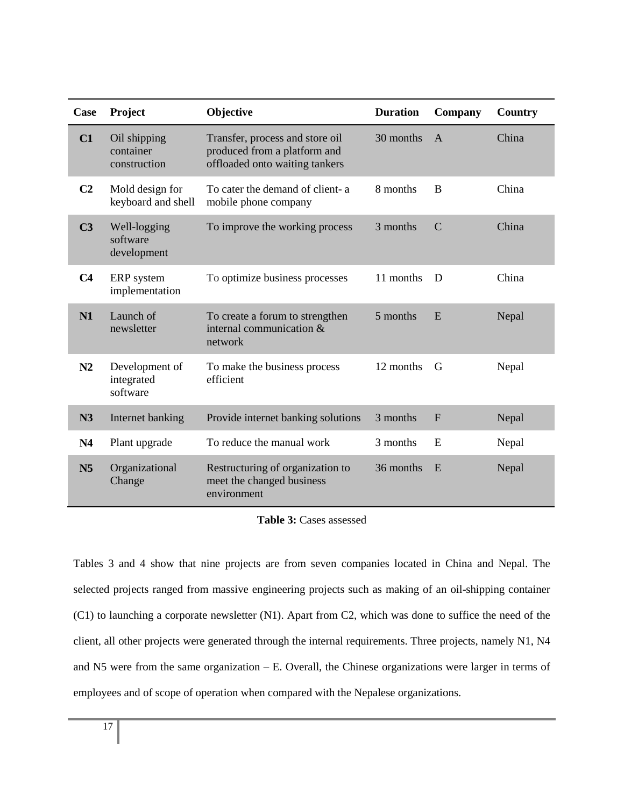| Case           | Project                                   | Objective                                                                                         | <b>Duration</b> | Company      | Country |
|----------------|-------------------------------------------|---------------------------------------------------------------------------------------------------|-----------------|--------------|---------|
| C1             | Oil shipping<br>container<br>construction | Transfer, process and store oil<br>produced from a platform and<br>offloaded onto waiting tankers | 30 months       | $\mathsf{A}$ | China   |
| C <sub>2</sub> | Mold design for<br>keyboard and shell     | To cater the demand of client- a<br>mobile phone company                                          | 8 months        | B            | China   |
| C <sub>3</sub> | Well-logging<br>software<br>development   | To improve the working process                                                                    | 3 months        | $\mathbf C$  | China   |
| C <sub>4</sub> | ERP system<br>implementation              | To optimize business processes                                                                    | 11 months       | D            | China   |
| N1             | Launch of<br>newsletter                   | To create a forum to strengthen<br>internal communication &<br>network                            | 5 months        | E            | Nepal   |
| N2             | Development of<br>integrated<br>software  | To make the business process<br>efficient                                                         | 12 months       | G            | Nepal   |
| N3             | Internet banking                          | Provide internet banking solutions                                                                | 3 months        | $\mathbf{F}$ | Nepal   |
| N <sub>4</sub> | Plant upgrade                             | To reduce the manual work                                                                         | 3 months        | E            | Nepal   |
| N <sub>5</sub> | Organizational<br>Change                  | Restructuring of organization to<br>meet the changed business<br>environment                      | 36 months       | E            | Nepal   |

**Table 3:** Cases assessed

Tables 3 and 4 show that nine projects are from seven companies located in China and Nepal. The selected projects ranged from massive engineering projects such as making of an oil-shipping container (C1) to launching a corporate newsletter (N1). Apart from C2, which was done to suffice the need of the client, all other projects were generated through the internal requirements. Three projects, namely N1, N4 and N5 were from the same organization – E. Overall, the Chinese organizations were larger in terms of employees and of scope of operation when compared with the Nepalese organizations.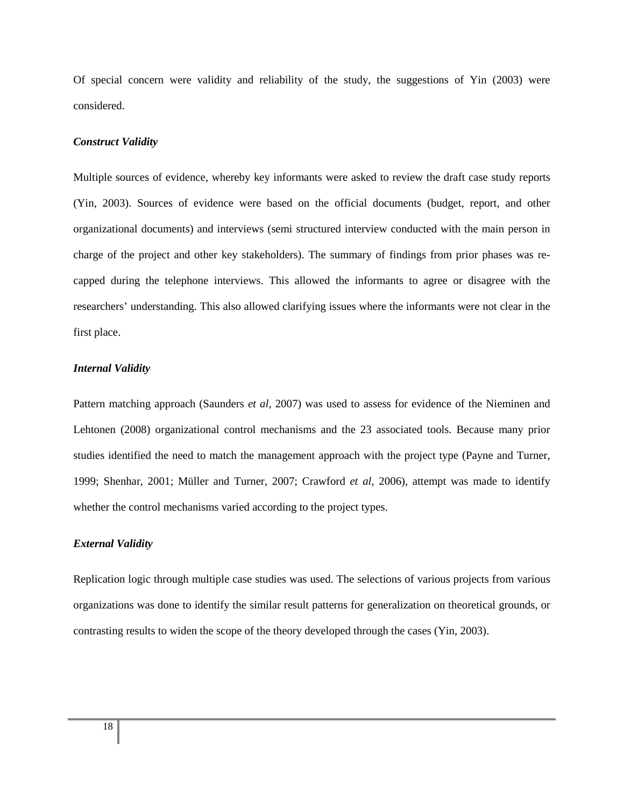Of special concern were validity and reliability of the study, the suggestions of Yin (2003) were considered.

#### *Construct Validity*

Multiple sources of evidence, whereby key informants were asked to review the draft case study reports (Yin, 2003). Sources of evidence were based on the official documents (budget, report, and other organizational documents) and interviews (semi structured interview conducted with the main person in charge of the project and other key stakeholders). The summary of findings from prior phases was recapped during the telephone interviews. This allowed the informants to agree or disagree with the researchers' understanding. This also allowed clarifying issues where the informants were not clear in the first place.

## *Internal Validity*

Pattern matching approach (Saunders *et al,* 2007) was used to assess for evidence of the Nieminen and Lehtonen (2008) organizational control mechanisms and the 23 associated tools. Because many prior studies identified the need to match the management approach with the project type (Payne and Turner, 1999; Shenhar, 2001; Müller and Turner, 2007; Crawford *et al*, 2006), attempt was made to identify whether the control mechanisms varied according to the project types.

# *External Validity*

Replication logic through multiple case studies was used. The selections of various projects from various organizations was done to identify the similar result patterns for generalization on theoretical grounds, or contrasting results to widen the scope of the theory developed through the cases (Yin, 2003).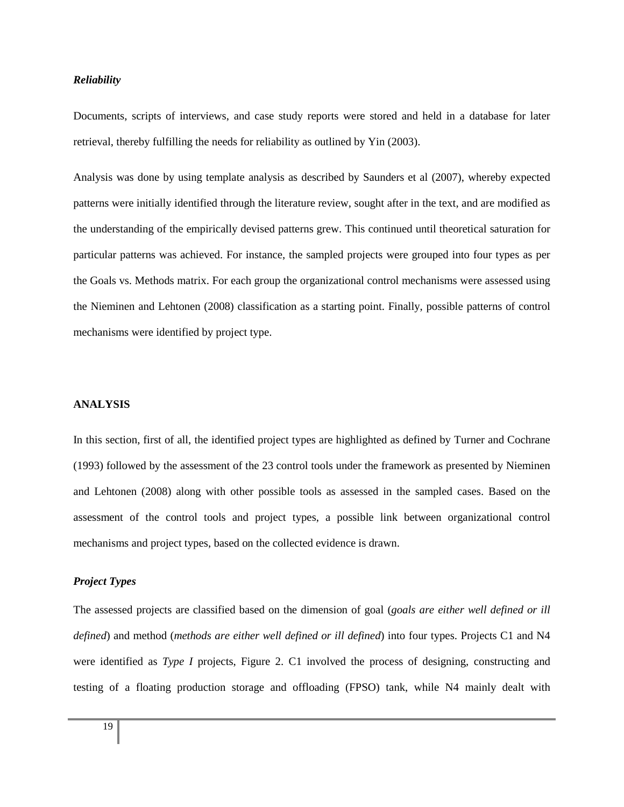## *Reliability*

Documents, scripts of interviews, and case study reports were stored and held in a database for later retrieval, thereby fulfilling the needs for reliability as outlined by Yin (2003).

Analysis was done by using template analysis as described by Saunders et al (2007), whereby expected patterns were initially identified through the literature review, sought after in the text, and are modified as the understanding of the empirically devised patterns grew. This continued until theoretical saturation for particular patterns was achieved. For instance, the sampled projects were grouped into four types as per the Goals vs. Methods matrix. For each group the organizational control mechanisms were assessed using the Nieminen and Lehtonen (2008) classification as a starting point. Finally, possible patterns of control mechanisms were identified by project type.

## **ANALYSIS**

In this section, first of all, the identified project types are highlighted as defined by Turner and Cochrane (1993) followed by the assessment of the 23 control tools under the framework as presented by Nieminen and Lehtonen (2008) along with other possible tools as assessed in the sampled cases. Based on the assessment of the control tools and project types, a possible link between organizational control mechanisms and project types, based on the collected evidence is drawn.

#### *Project Types*

The assessed projects are classified based on the dimension of goal (*goals are either well defined or ill defined*) and method (*methods are either well defined or ill defined*) into four types. Projects C1 and N4 were identified as *Type I* projects, Figure 2. C1 involved the process of designing, constructing and testing of a floating production storage and offloading (FPSO) tank, while N4 mainly dealt with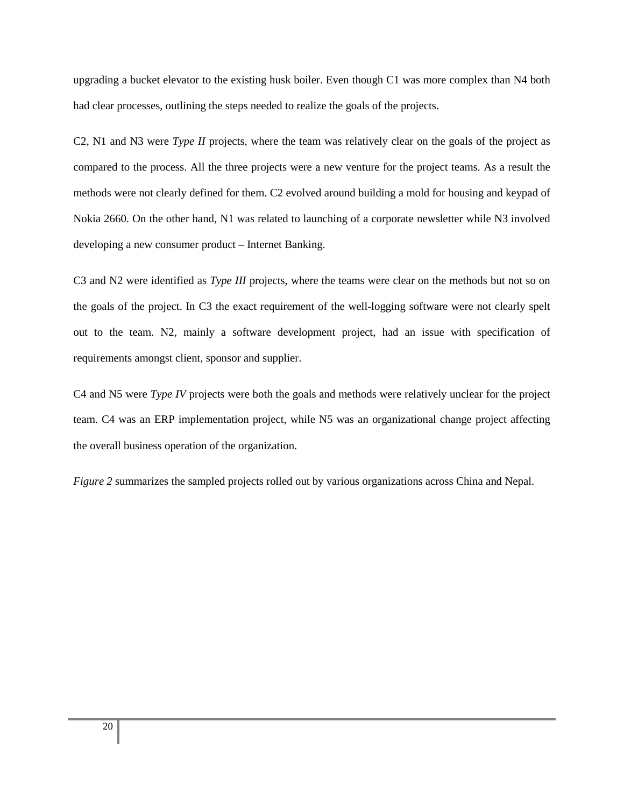upgrading a bucket elevator to the existing husk boiler. Even though C1 was more complex than N4 both had clear processes, outlining the steps needed to realize the goals of the projects.

C2, N1 and N3 were *Type II* projects, where the team was relatively clear on the goals of the project as compared to the process. All the three projects were a new venture for the project teams. As a result the methods were not clearly defined for them. C2 evolved around building a mold for housing and keypad of Nokia 2660. On the other hand, N1 was related to launching of a corporate newsletter while N3 involved developing a new consumer product – Internet Banking.

C3 and N2 were identified as *Type III* projects, where the teams were clear on the methods but not so on the goals of the project. In C3 the exact requirement of the well-logging software were not clearly spelt out to the team. N2, mainly a software development project, had an issue with specification of requirements amongst client, sponsor and supplier.

C4 and N5 were *Type IV* projects were both the goals and methods were relatively unclear for the project team. C4 was an ERP implementation project, while N5 was an organizational change project affecting the overall business operation of the organization.

*Figure 2* summarizes the sampled projects rolled out by various organizations across China and Nepal.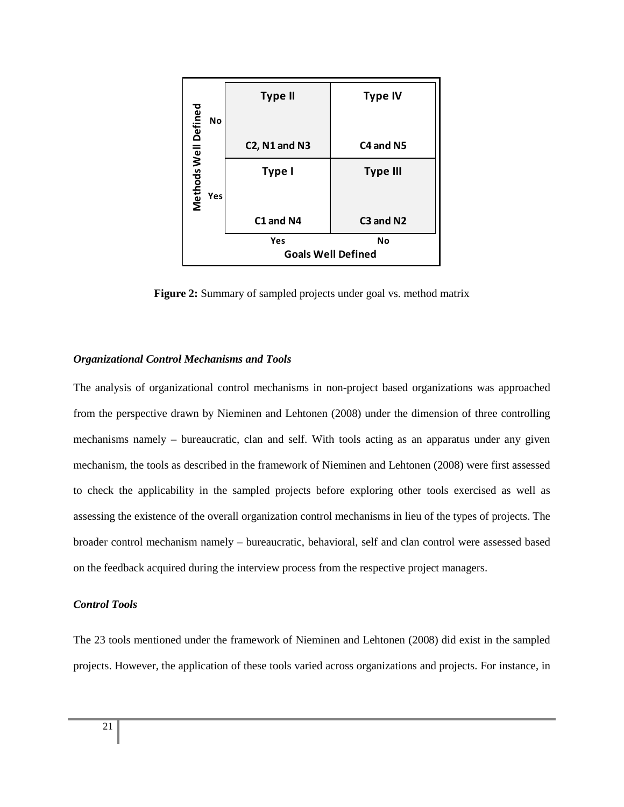|                            | <b>Type II</b>            | <b>Type IV</b>  |  |  |  |  |  |
|----------------------------|---------------------------|-----------------|--|--|--|--|--|
| Methods Well Defined<br>No |                           |                 |  |  |  |  |  |
|                            | $C2$ , N1 and N3          | C4 and N5       |  |  |  |  |  |
|                            | Type I                    | <b>Type III</b> |  |  |  |  |  |
| Yes                        |                           |                 |  |  |  |  |  |
|                            | C1 and N4                 | C3 and N2       |  |  |  |  |  |
|                            | Yes                       | <b>No</b>       |  |  |  |  |  |
|                            | <b>Goals Well Defined</b> |                 |  |  |  |  |  |

Figure 2: Summary of sampled projects under goal vs. method matrix

# *Organizational Control Mechanisms and Tools*

The analysis of organizational control mechanisms in non-project based organizations was approached from the perspective drawn by Nieminen and Lehtonen (2008) under the dimension of three controlling mechanisms namely – bureaucratic, clan and self. With tools acting as an apparatus under any given mechanism, the tools as described in the framework of Nieminen and Lehtonen (2008) were first assessed to check the applicability in the sampled projects before exploring other tools exercised as well as assessing the existence of the overall organization control mechanisms in lieu of the types of projects. The broader control mechanism namely – bureaucratic, behavioral, self and clan control were assessed based on the feedback acquired during the interview process from the respective project managers.

# *Control Tools*

The 23 tools mentioned under the framework of Nieminen and Lehtonen (2008) did exist in the sampled projects. However, the application of these tools varied across organizations and projects. For instance, in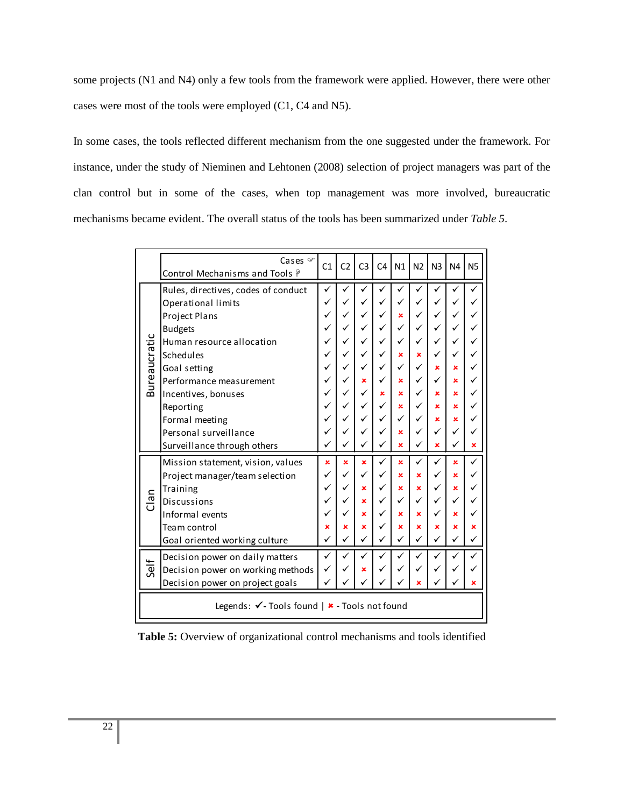some projects (N1 and N4) only a few tools from the framework were applied. However, there were other cases were most of the tools were employed (C1, C4 and N5).

In some cases, the tools reflected different mechanism from the one suggested under the framework. For instance, under the study of Nieminen and Lehtonen (2008) selection of project managers was part of the clan control but in some of the cases, when top management was more involved, bureaucratic mechanisms became evident. The overall status of the tools has been summarized under *Table 5*.

|                                               | Cases <sup>T</sup><br>Control Mechanisms and Tools $\hat{r}$ | C <sub>1</sub> | C <sub>2</sub> | C <sub>3</sub> | C <sub>4</sub> | N1 | N <sub>2</sub> | N <sub>3</sub> | N <sub>4</sub> | <b>N5</b> |
|-----------------------------------------------|--------------------------------------------------------------|----------------|----------------|----------------|----------------|----|----------------|----------------|----------------|-----------|
|                                               | Rules, directives, codes of conduct                          |                |                |                |                |    |                |                |                |           |
|                                               | Operational limits                                           |                |                |                |                |    |                |                |                |           |
|                                               | Project Plans                                                |                |                |                |                | ×  |                |                |                |           |
|                                               | <b>Budgets</b>                                               |                |                |                |                |    |                |                |                |           |
|                                               | Human resource allocation                                    |                |                |                |                |    |                |                | ✓              |           |
|                                               | Schedules                                                    |                |                |                |                | ×  | ×              |                |                |           |
| <b>Bureaucratic</b>                           | Goal setting                                                 |                |                |                | ✓              | ✓  | ✓              | ×              | ×              |           |
|                                               | Performance measurement                                      |                |                | ×              |                | ×  | ✓              |                | ×              |           |
|                                               | Incentives, bonuses                                          |                |                |                | ×              | ×  |                | ×              | ×              |           |
|                                               | Reporting                                                    |                |                |                | ✓              | ×  |                | ×              | ×              |           |
|                                               | Formal meeting                                               |                |                |                | ✓              | ✓  |                | ×              | ×              |           |
|                                               | Personal surveillance                                        |                |                |                |                | ×  |                | ✓              | ✓              |           |
|                                               | Surveillance through others                                  |                |                |                |                | ×  |                | ×              | ✓              | ×         |
|                                               | Mission statement, vision, values                            | ×              | ×              | ×              | ✓              | ×  | ✓              |                | ×              | ✓         |
|                                               | Project manager/team selection                               |                |                |                |                | ×  | ×              |                | ×              |           |
|                                               | Training                                                     |                |                | ×              | ✓              | ×  | ×              | ✓              | ×              |           |
| Clan                                          | Discussions                                                  |                |                | ×              | ✓              | ✓  | ✓              | ✓              | ✓              |           |
|                                               | Informal events                                              |                |                | ×              |                | ×  | ×              | ✓              | ×              |           |
|                                               | Team control                                                 | ×              | ×              | ×              |                | ×  | ×              | ×              | ×              | ×         |
|                                               | Goal oriented working culture                                |                |                |                |                |    |                |                | ✓              |           |
|                                               | Decision power on daily matters                              | ✓              |                |                |                |    |                |                |                |           |
| Self                                          | Decision power on working methods                            |                |                | ×              |                |    |                |                |                |           |
|                                               | Decision power on project goals                              |                |                |                |                |    |                |                |                | ×         |
| Legends: √- Tools found   ★ - Tools not found |                                                              |                |                |                |                |    |                |                |                |           |

Table 5: Overview of organizational control mechanisms and tools identified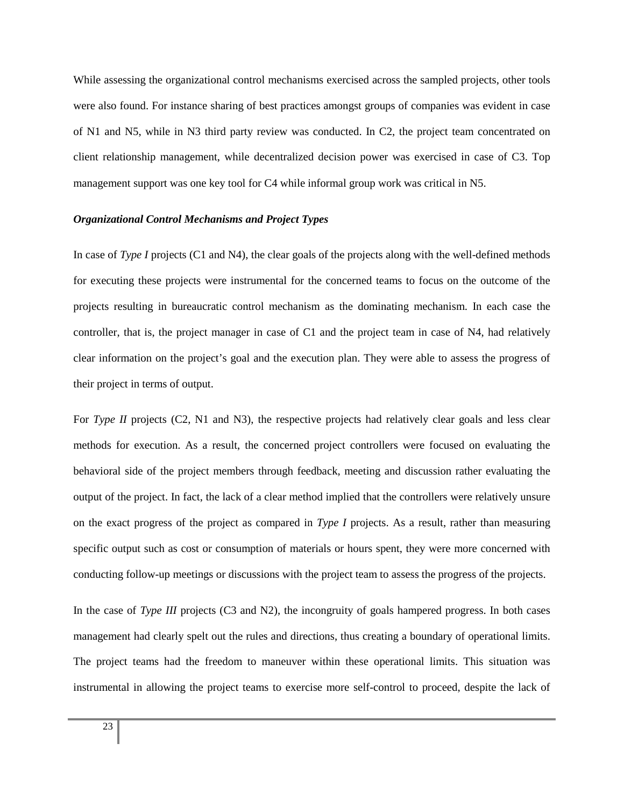While assessing the organizational control mechanisms exercised across the sampled projects, other tools were also found. For instance sharing of best practices amongst groups of companies was evident in case of N1 and N5, while in N3 third party review was conducted. In C2, the project team concentrated on client relationship management, while decentralized decision power was exercised in case of C3. Top management support was one key tool for C4 while informal group work was critical in N5.

## *Organizational Control Mechanisms and Project Types*

In case of *Type I* projects (C1 and N4), the clear goals of the projects along with the well-defined methods for executing these projects were instrumental for the concerned teams to focus on the outcome of the projects resulting in bureaucratic control mechanism as the dominating mechanism. In each case the controller, that is, the project manager in case of C1 and the project team in case of N4, had relatively clear information on the project's goal and the execution plan. They were able to assess the progress of their project in terms of output.

For *Type II* projects (C2, N1 and N3), the respective projects had relatively clear goals and less clear methods for execution. As a result, the concerned project controllers were focused on evaluating the behavioral side of the project members through feedback, meeting and discussion rather evaluating the output of the project. In fact, the lack of a clear method implied that the controllers were relatively unsure on the exact progress of the project as compared in *Type I* projects. As a result, rather than measuring specific output such as cost or consumption of materials or hours spent, they were more concerned with conducting follow-up meetings or discussions with the project team to assess the progress of the projects.

In the case of *Type III* projects (C3 and N2), the incongruity of goals hampered progress. In both cases management had clearly spelt out the rules and directions, thus creating a boundary of operational limits. The project teams had the freedom to maneuver within these operational limits. This situation was instrumental in allowing the project teams to exercise more self-control to proceed, despite the lack of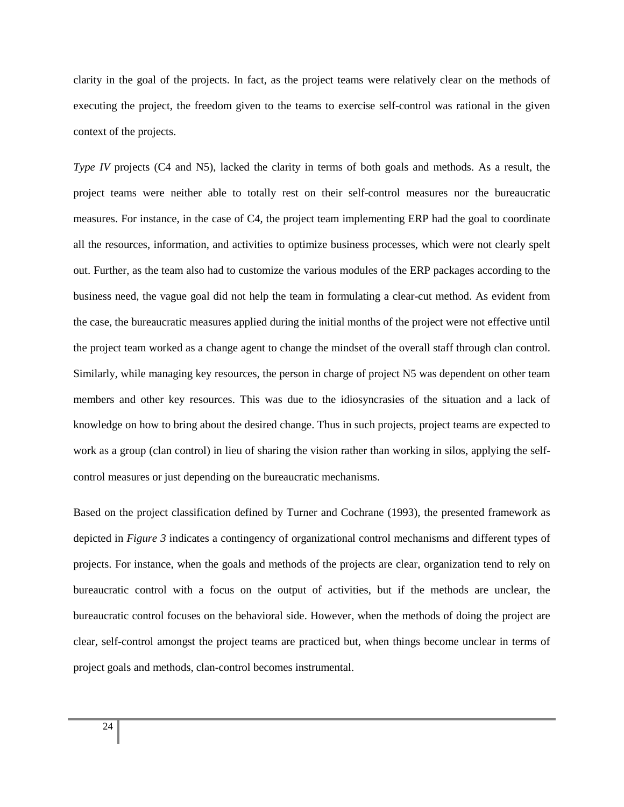clarity in the goal of the projects. In fact, as the project teams were relatively clear on the methods of executing the project, the freedom given to the teams to exercise self-control was rational in the given context of the projects.

*Type IV* projects (C4 and N5), lacked the clarity in terms of both goals and methods. As a result, the project teams were neither able to totally rest on their self-control measures nor the bureaucratic measures. For instance, in the case of C4, the project team implementing ERP had the goal to coordinate all the resources, information, and activities to optimize business processes, which were not clearly spelt out. Further, as the team also had to customize the various modules of the ERP packages according to the business need, the vague goal did not help the team in formulating a clear-cut method. As evident from the case, the bureaucratic measures applied during the initial months of the project were not effective until the project team worked as a change agent to change the mindset of the overall staff through clan control. Similarly, while managing key resources, the person in charge of project N5 was dependent on other team members and other key resources. This was due to the idiosyncrasies of the situation and a lack of knowledge on how to bring about the desired change. Thus in such projects, project teams are expected to work as a group (clan control) in lieu of sharing the vision rather than working in silos, applying the selfcontrol measures or just depending on the bureaucratic mechanisms.

Based on the project classification defined by Turner and Cochrane (1993), the presented framework as depicted in *Figure 3* indicates a contingency of organizational control mechanisms and different types of projects. For instance, when the goals and methods of the projects are clear, organization tend to rely on bureaucratic control with a focus on the output of activities, but if the methods are unclear, the bureaucratic control focuses on the behavioral side. However, when the methods of doing the project are clear, self-control amongst the project teams are practiced but, when things become unclear in terms of project goals and methods, clan-control becomes instrumental.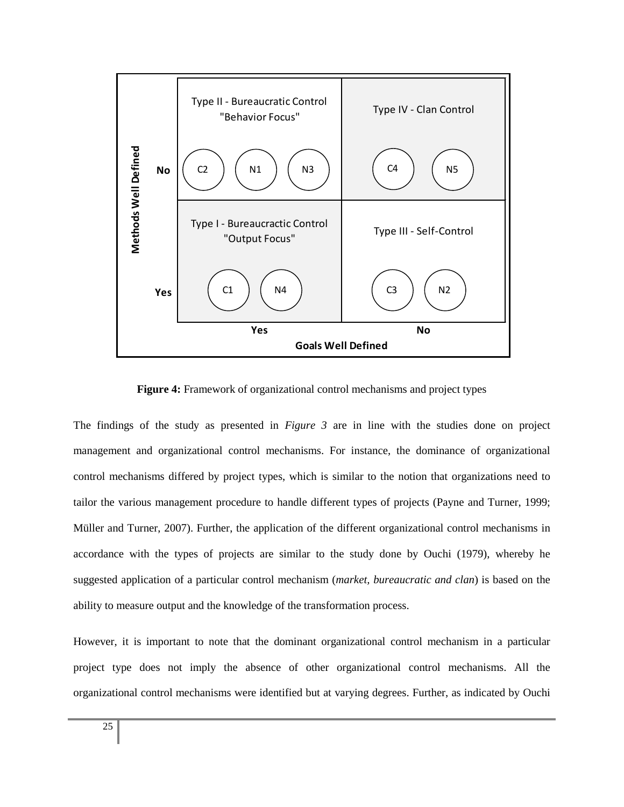

**Figure 4:** Framework of organizational control mechanisms and project types

The findings of the study as presented in *Figure 3* are in line with the studies done on project management and organizational control mechanisms. For instance, the dominance of organizational control mechanisms differed by project types, which is similar to the notion that organizations need to tailor the various management procedure to handle different types of projects (Payne and Turner, 1999; Müller and Turner, 2007). Further, the application of the different organizational control mechanisms in accordance with the types of projects are similar to the study done by Ouchi (1979), whereby he suggested application of a particular control mechanism (*market, bureaucratic and clan*) is based on the ability to measure output and the knowledge of the transformation process.

However, it is important to note that the dominant organizational control mechanism in a particular project type does not imply the absence of other organizational control mechanisms. All the organizational control mechanisms were identified but at varying degrees. Further, as indicated by Ouchi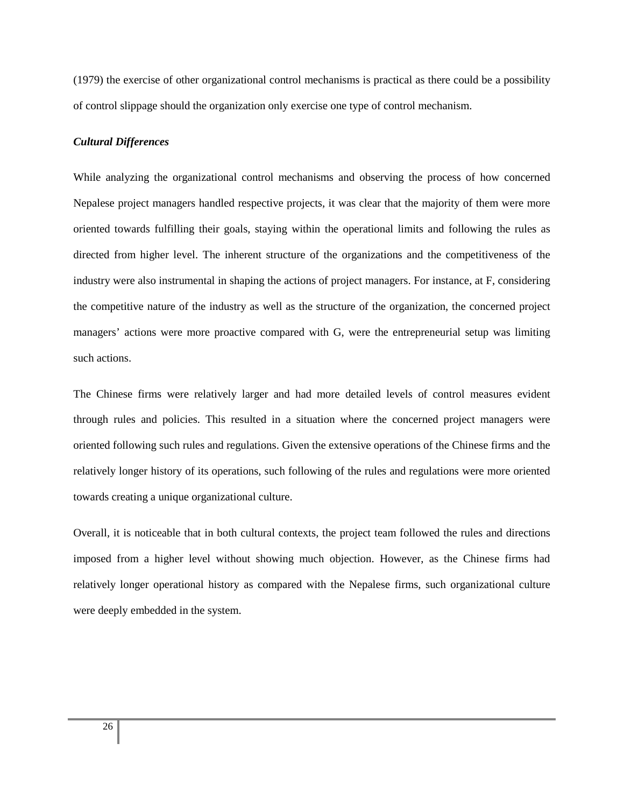(1979) the exercise of other organizational control mechanisms is practical as there could be a possibility of control slippage should the organization only exercise one type of control mechanism.

#### *Cultural Differences*

While analyzing the organizational control mechanisms and observing the process of how concerned Nepalese project managers handled respective projects, it was clear that the majority of them were more oriented towards fulfilling their goals, staying within the operational limits and following the rules as directed from higher level. The inherent structure of the organizations and the competitiveness of the industry were also instrumental in shaping the actions of project managers. For instance, at F, considering the competitive nature of the industry as well as the structure of the organization, the concerned project managers' actions were more proactive compared with G, were the entrepreneurial setup was limiting such actions.

The Chinese firms were relatively larger and had more detailed levels of control measures evident through rules and policies. This resulted in a situation where the concerned project managers were oriented following such rules and regulations. Given the extensive operations of the Chinese firms and the relatively longer history of its operations, such following of the rules and regulations were more oriented towards creating a unique organizational culture.

Overall, it is noticeable that in both cultural contexts, the project team followed the rules and directions imposed from a higher level without showing much objection. However, as the Chinese firms had relatively longer operational history as compared with the Nepalese firms, such organizational culture were deeply embedded in the system.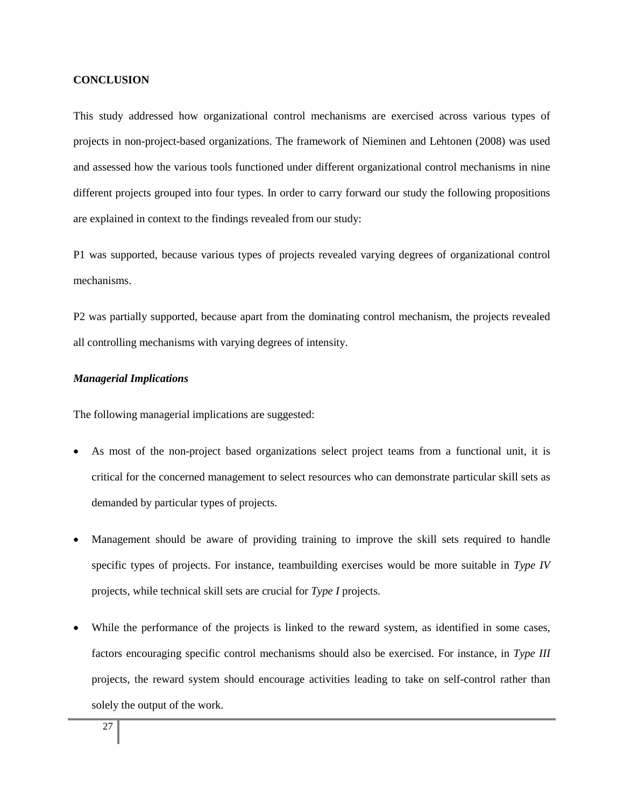#### **CONCLUSION**

This study addressed how organizational control mechanisms are exercised across various types of projects in non-project-based organizations. The framework of Nieminen and Lehtonen (2008) was used and assessed how the various tools functioned under different organizational control mechanisms in nine different projects grouped into four types. In order to carry forward our study the following propositions are explained in context to the findings revealed from our study:

P1 was supported, because various types of projects revealed varying degrees of organizational control mechanisms.

P2 was partially supported, because apart from the dominating control mechanism, the projects revealed all controlling mechanisms with varying degrees of intensity.

#### *Managerial Implications*

The following managerial implications are suggested:

- As most of the non-project based organizations select project teams from a functional unit, it is critical for the concerned management to select resources who can demonstrate particular skill sets as demanded by particular types of projects.
- Management should be aware of providing training to improve the skill sets required to handle specific types of projects. For instance, teambuilding exercises would be more suitable in *Type IV* projects, while technical skill sets are crucial for *Type I* projects.
- While the performance of the projects is linked to the reward system, as identified in some cases, factors encouraging specific control mechanisms should also be exercised. For instance, in *Type III* projects, the reward system should encourage activities leading to take on self-control rather than solely the output of the work.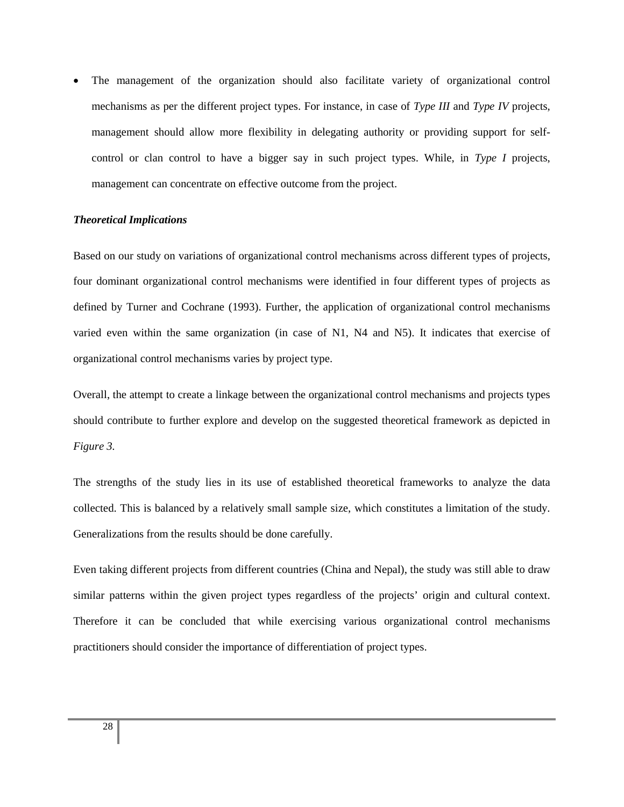• The management of the organization should also facilitate variety of organizational control mechanisms as per the different project types. For instance, in case of *Type III* and *Type IV* projects, management should allow more flexibility in delegating authority or providing support for selfcontrol or clan control to have a bigger say in such project types. While, in *Type I* projects, management can concentrate on effective outcome from the project.

#### *Theoretical Implications*

Based on our study on variations of organizational control mechanisms across different types of projects, four dominant organizational control mechanisms were identified in four different types of projects as defined by Turner and Cochrane (1993). Further, the application of organizational control mechanisms varied even within the same organization (in case of N1, N4 and N5). It indicates that exercise of organizational control mechanisms varies by project type.

Overall, the attempt to create a linkage between the organizational control mechanisms and projects types should contribute to further explore and develop on the suggested theoretical framework as depicted in *Figure 3.* 

The strengths of the study lies in its use of established theoretical frameworks to analyze the data collected. This is balanced by a relatively small sample size, which constitutes a limitation of the study. Generalizations from the results should be done carefully.

Even taking different projects from different countries (China and Nepal), the study was still able to draw similar patterns within the given project types regardless of the projects' origin and cultural context. Therefore it can be concluded that while exercising various organizational control mechanisms practitioners should consider the importance of differentiation of project types.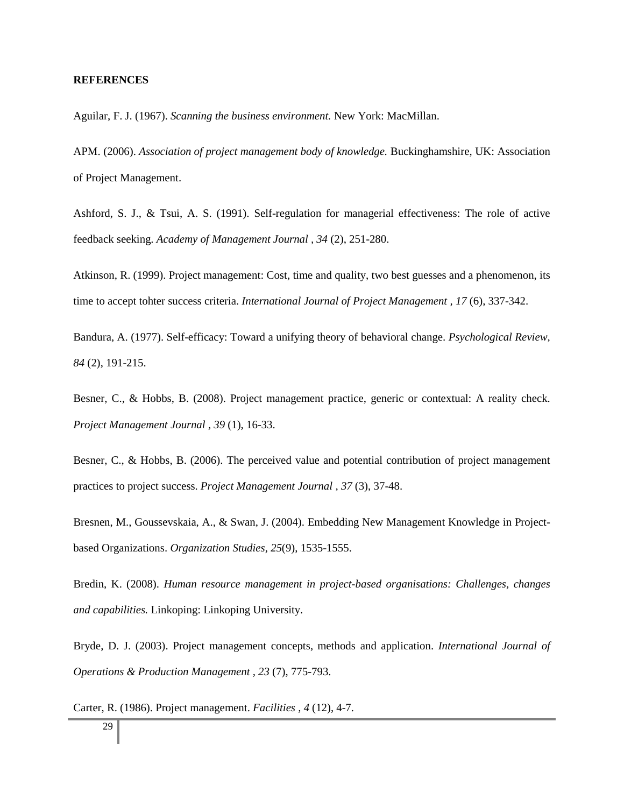#### **REFERENCES**

Aguilar, F. J. (1967). *Scanning the business environment.* New York: MacMillan.

APM. (2006). *Association of project management body of knowledge.* Buckinghamshire, UK: Association of Project Management.

Ashford, S. J., & Tsui, A. S. (1991). Self-regulation for managerial effectiveness: The role of active feedback seeking. *Academy of Management Journal , 34* (2), 251-280.

Atkinson, R. (1999). Project management: Cost, time and quality, two best guesses and a phenomenon, its time to accept tohter success criteria. *International Journal of Project Management , 17* (6), 337-342.

Bandura, A. (1977). Self-efficacy: Toward a unifying theory of behavioral change. *Psychological Review, 84* (2), 191-215.

Besner, C., & Hobbs, B. (2008). Project management practice, generic or contextual: A reality check. *Project Management Journal , 39* (1), 16-33.

Besner, C., & Hobbs, B. (2006). The perceived value and potential contribution of project management practices to project success. *Project Management Journal , 37* (3), 37-48.

Bresnen, M., Goussevskaia, A., & Swan, J. (2004). Embedding New Management Knowledge in Projectbased Organizations. *Organization Studies, 25*(9), 1535-1555.

Bredin, K. (2008). *Human resource management in project-based organisations: Challenges, changes and capabilities.* Linkoping: Linkoping University.

Bryde, D. J. (2003). Project management concepts, methods and application. *International Journal of Operations & Production Management , 23* (7), 775-793.

Carter, R. (1986). Project management. *Facilities , 4* (12), 4-7.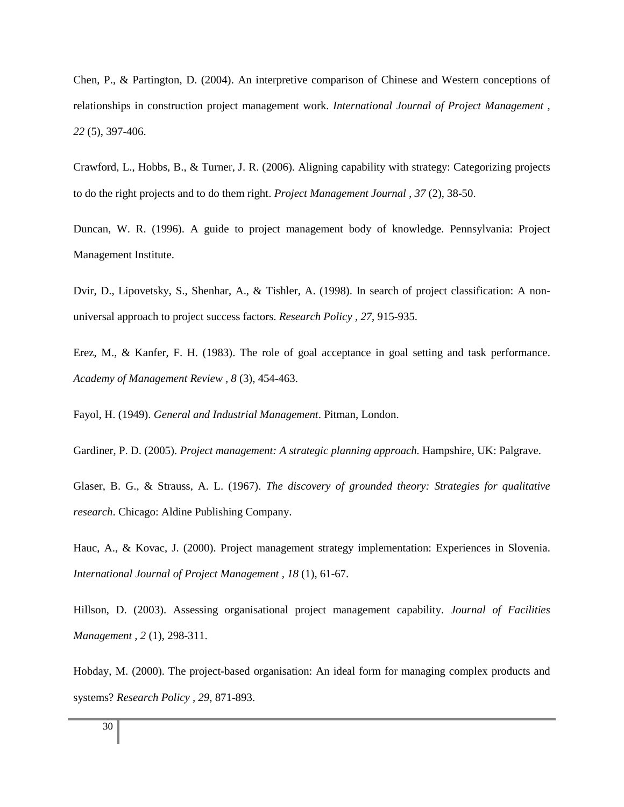Chen, P., & Partington, D. (2004). An interpretive comparison of Chinese and Western conceptions of relationships in construction project management work. *International Journal of Project Management , 22* (5), 397-406.

Crawford, L., Hobbs, B., & Turner, J. R. (2006). Aligning capability with strategy: Categorizing projects to do the right projects and to do them right. *Project Management Journal , 37* (2), 38-50.

Duncan, W. R. (1996). A guide to project management body of knowledge. Pennsylvania: Project Management Institute.

Dvir, D., Lipovetsky, S., Shenhar, A., & Tishler, A. (1998). In search of project classification: A nonuniversal approach to project success factors. *Research Policy , 27*, 915-935.

Erez, M., & Kanfer, F. H. (1983). The role of goal acceptance in goal setting and task performance. *Academy of Management Review , 8* (3), 454-463.

Fayol, H. (1949). *General and Industrial Management*. Pitman, London.

Gardiner, P. D. (2005). *Project management: A strategic planning approach.* Hampshire, UK: Palgrave.

Glaser, B. G., & Strauss, A. L. (1967). *The discovery of grounded theory: Strategies for qualitative research*. Chicago: Aldine Publishing Company.

Hauc, A., & Kovac, J. (2000). Project management strategy implementation: Experiences in Slovenia. *International Journal of Project Management , 18* (1), 61-67.

Hillson, D. (2003). Assessing organisational project management capability. *Journal of Facilities Management , 2* (1), 298-311.

Hobday, M. (2000). The project-based organisation: An ideal form for managing complex products and systems? *Research Policy , 29*, 871-893.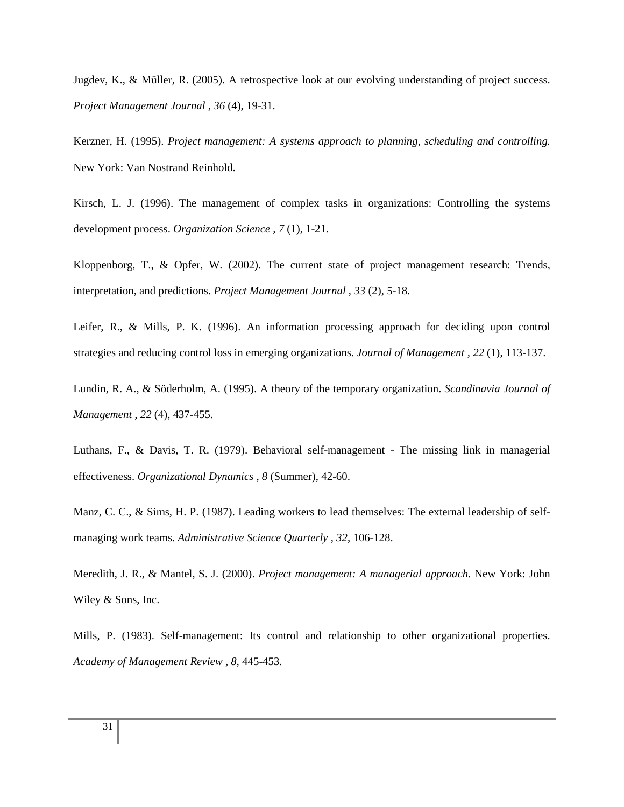Jugdev, K., & Müller, R. (2005). A retrospective look at our evolving understanding of project success. *Project Management Journal , 36* (4), 19-31.

Kerzner, H. (1995). *Project management: A systems approach to planning, scheduling and controlling.* New York: Van Nostrand Reinhold.

Kirsch, L. J. (1996). The management of complex tasks in organizations: Controlling the systems development process. *Organization Science , 7* (1), 1-21.

Kloppenborg, T., & Opfer, W. (2002). The current state of project management research: Trends, interpretation, and predictions. *Project Management Journal , 33* (2), 5-18.

Leifer, R., & Mills, P. K. (1996). An information processing approach for deciding upon control strategies and reducing control loss in emerging organizations. *Journal of Management , 22* (1), 113-137.

Lundin, R. A., & Söderholm, A. (1995). A theory of the temporary organization. *Scandinavia Journal of Management , 22* (4), 437-455.

Luthans, F., & Davis, T. R. (1979). Behavioral self-management - The missing link in managerial effectiveness. *Organizational Dynamics , 8* (Summer), 42-60.

Manz, C. C., & Sims, H. P. (1987). Leading workers to lead themselves: The external leadership of selfmanaging work teams. *Administrative Science Quarterly , 32*, 106-128.

Meredith, J. R., & Mantel, S. J. (2000). *Project management: A managerial approach.* New York: John Wiley & Sons, Inc.

Mills, P. (1983). Self-management: Its control and relationship to other organizational properties. *Academy of Management Review , 8*, 445-453.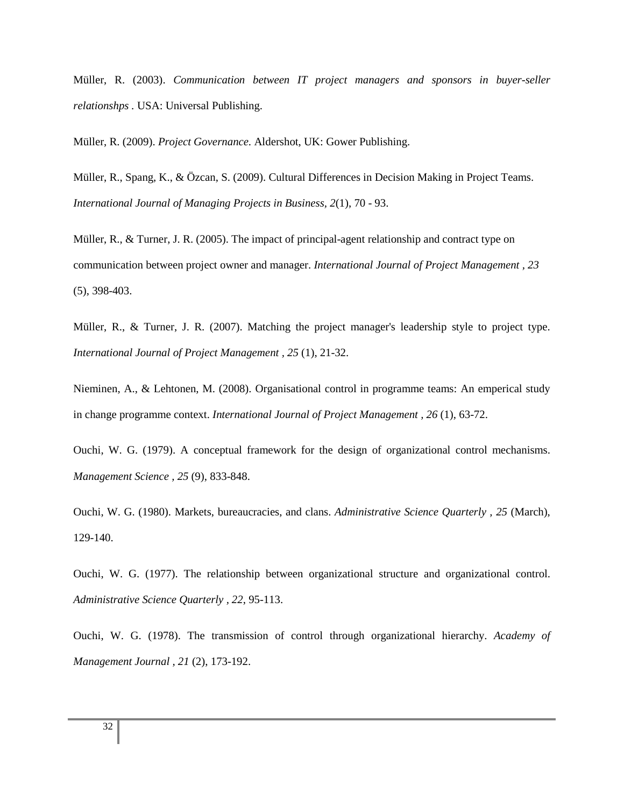Müller, R. (2003). *Communication between IT project managers and sponsors in buyer-seller relationshps .* USA: Universal Publishing.

Müller, R. (2009). *Project Governance.* Aldershot, UK: Gower Publishing.

Müller, R., Spang, K., & Özcan, S. (2009). Cultural Differences in Decision Making in Project Teams. *International Journal of Managing Projects in Business, 2*(1), 70 - 93.

Müller, R., & Turner, J. R. (2005). The impact of principal-agent relationship and contract type on communication between project owner and manager. *International Journal of Project Management , 23* (5), 398-403.

Müller, R., & Turner, J. R. (2007). Matching the project manager's leadership style to project type. *International Journal of Project Management , 25* (1), 21-32.

Nieminen, A., & Lehtonen, M. (2008). Organisational control in programme teams: An emperical study in change programme context. *International Journal of Project Management , 26* (1), 63-72.

Ouchi, W. G. (1979). A conceptual framework for the design of organizational control mechanisms. *Management Science , 25* (9), 833-848.

Ouchi, W. G. (1980). Markets, bureaucracies, and clans. *Administrative Science Quarterly , 25* (March), 129-140.

Ouchi, W. G. (1977). The relationship between organizational structure and organizational control. *Administrative Science Quarterly , 22*, 95-113.

Ouchi, W. G. (1978). The transmission of control through organizational hierarchy. *Academy of Management Journal , 21* (2), 173-192.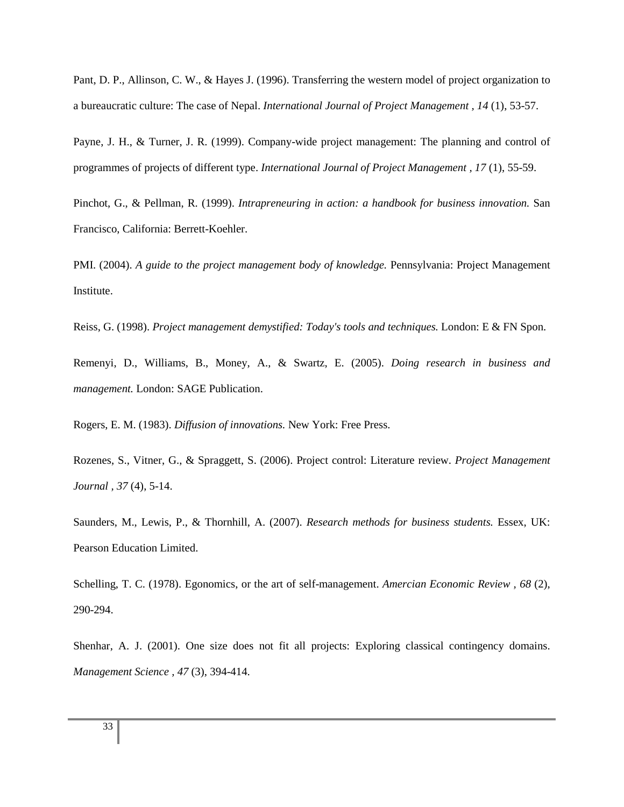Pant, D. P., Allinson, C. W., & Hayes J. (1996). Transferring the western model of project organization to a bureaucratic culture: The case of Nepal. *International Journal of Project Management , 14* (1), 53-57.

Payne, J. H., & Turner, J. R. (1999). Company-wide project management: The planning and control of programmes of projects of different type. *International Journal of Project Management , 17* (1), 55-59.

Pinchot, G., & Pellman, R. (1999). *Intrapreneuring in action: a handbook for business innovation.* San Francisco, California: Berrett-Koehler.

PMI. (2004). *A guide to the project management body of knowledge.* Pennsylvania: Project Management Institute.

Reiss, G. (1998). *Project management demystified: Today's tools and techniques.* London: E & FN Spon.

Remenyi, D., Williams, B., Money, A., & Swartz, E. (2005). *Doing research in business and management.* London: SAGE Publication.

Rogers, E. M. (1983). *Diffusion of innovations.* New York: Free Press.

Rozenes, S., Vitner, G., & Spraggett, S. (2006). Project control: Literature review. *Project Management Journal , 37* (4), 5-14.

Saunders, M., Lewis, P., & Thornhill, A. (2007). *Research methods for business students.* Essex, UK: Pearson Education Limited.

Schelling, T. C. (1978). Egonomics, or the art of self-management. *Amercian Economic Review , 68* (2), 290-294.

Shenhar, A. J. (2001). One size does not fit all projects: Exploring classical contingency domains. *Management Science , 47* (3), 394-414.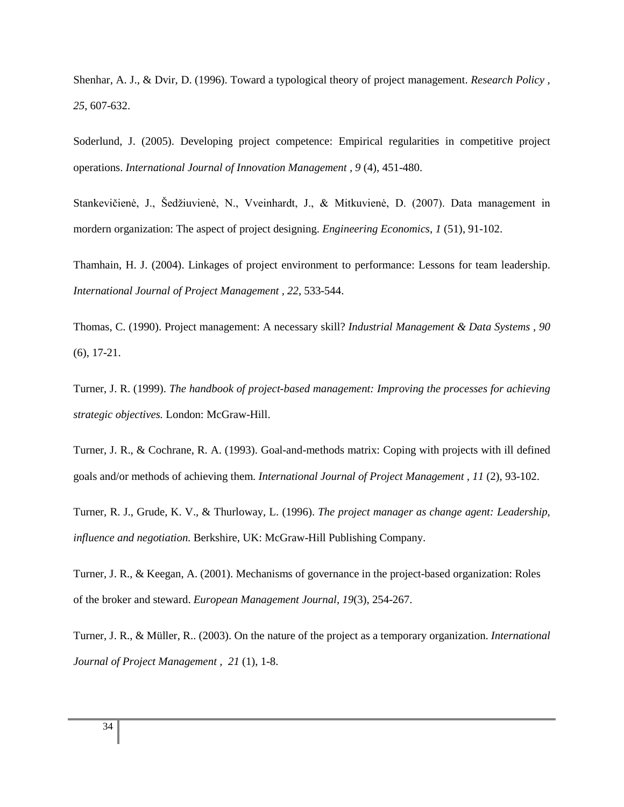Shenhar, A. J., & Dvir, D. (1996). Toward a typological theory of project management. *Research Policy , 25*, 607-632.

Soderlund, J. (2005). Developing project competence: Empirical regularities in competitive project operations. *International Journal of Innovation Management , 9* (4), 451-480.

Stankevičienė, J., Šedžiuvienė, N., Vveinhardt, J., & Mitkuvienė, D. (2007). Data management in mordern organization: The aspect of project designing. *Engineering Economics, 1* (51), 91-102.

Thamhain, H. J. (2004). Linkages of project environment to performance: Lessons for team leadership. *International Journal of Project Management , 22*, 533-544.

Thomas, C. (1990). Project management: A necessary skill? *Industrial Management & Data Systems , 90* (6), 17-21.

Turner, J. R. (1999). *The handbook of project-based management: Improving the processes for achieving strategic objectives.* London: McGraw-Hill.

Turner, J. R., & Cochrane, R. A. (1993). Goal-and-methods matrix: Coping with projects with ill defined goals and/or methods of achieving them. *International Journal of Project Management , 11* (2), 93-102.

Turner, R. J., Grude, K. V., & Thurloway, L. (1996). *The project manager as change agent: Leadership, influence and negotiation.* Berkshire, UK: McGraw-Hill Publishing Company.

Turner, J. R., & Keegan, A. (2001). Mechanisms of governance in the project-based organization: Roles of the broker and steward. *European Management Journal, 19*(3), 254-267.

Turner, J. R., & Müller, R.. (2003). On the nature of the project as a temporary organization. *International Journal of Project Management , 21* (1), 1-8.